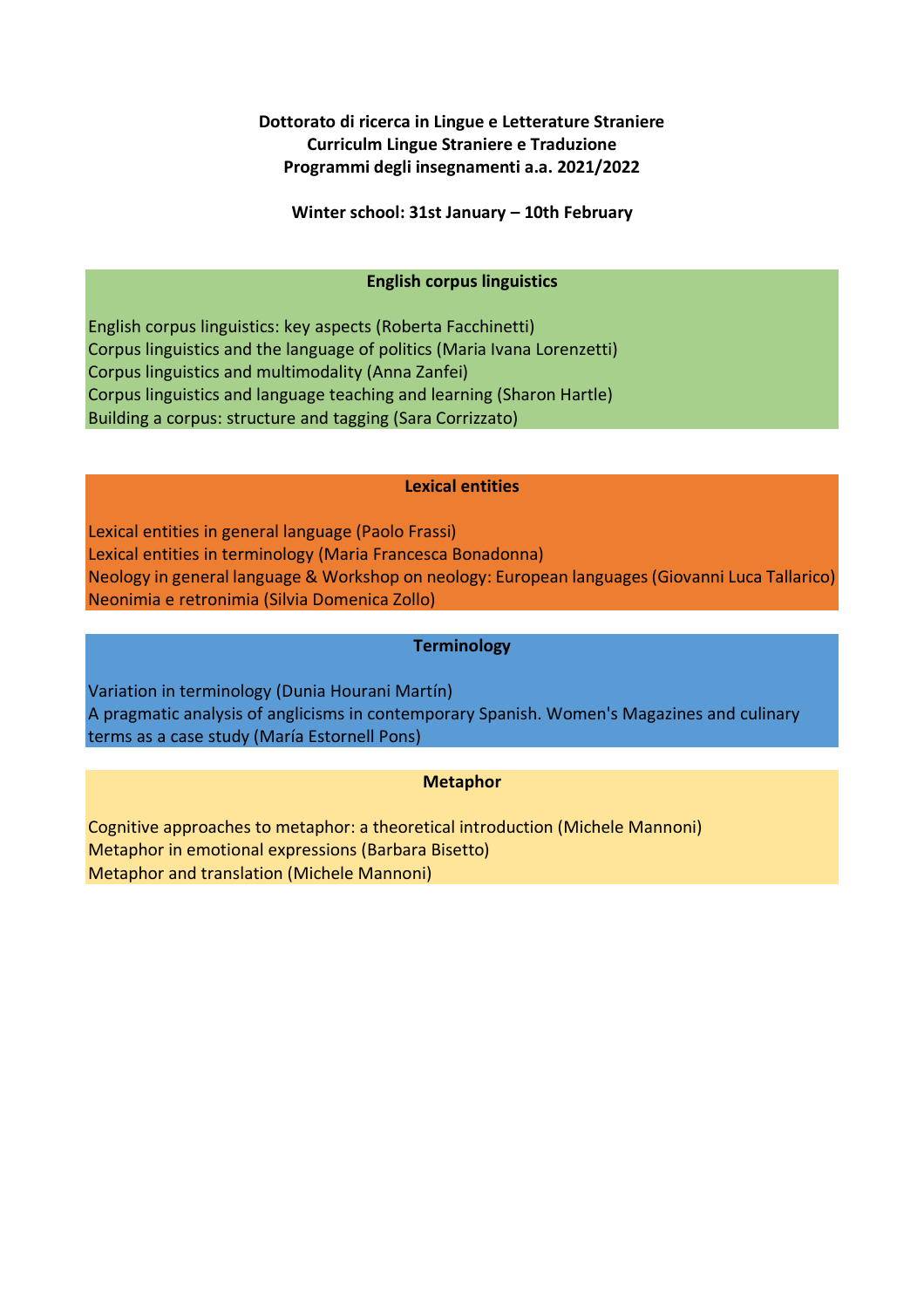# **Dottorato di ricerca in Lingue e Letterature Straniere Curriculm Lingue Straniere e Traduzione Programmi degli insegnamenti a.a. 2021/2022**

**Winter school: 31st January – 10th February**

## **English corpus linguistics**

English corpus linguistics: key aspects (Roberta Facchinetti) Corpus linguistics and the language of politics (Maria Ivana Lorenzetti) Corpus linguistics and multimodality (Anna Zanfei) Corpus linguistics and language teaching and learning (Sharon Hartle) Building a corpus: structure and tagging (Sara Corrizzato)

### **Lexical entities**

Lexical entities in general language (Paolo Frassi) Lexical entities in terminology (Maria Francesca Bonadonna) Neology in general language & Workshop on neology: European languages (Giovanni Luca Tallarico) Neonimia e retronimia (Silvia Domenica Zollo)

### **Terminology**

Variation in terminology (Dunia Hourani Martín) A pragmatic analysis of anglicisms in contemporary Spanish. Women's Magazines and culinary terms as a case study (María Estornell Pons)

## **Metaphor**

Cognitive approaches to metaphor: a theoretical introduction (Michele Mannoni) Metaphor in emotional expressions (Barbara Bisetto) Metaphor and translation (Michele Mannoni)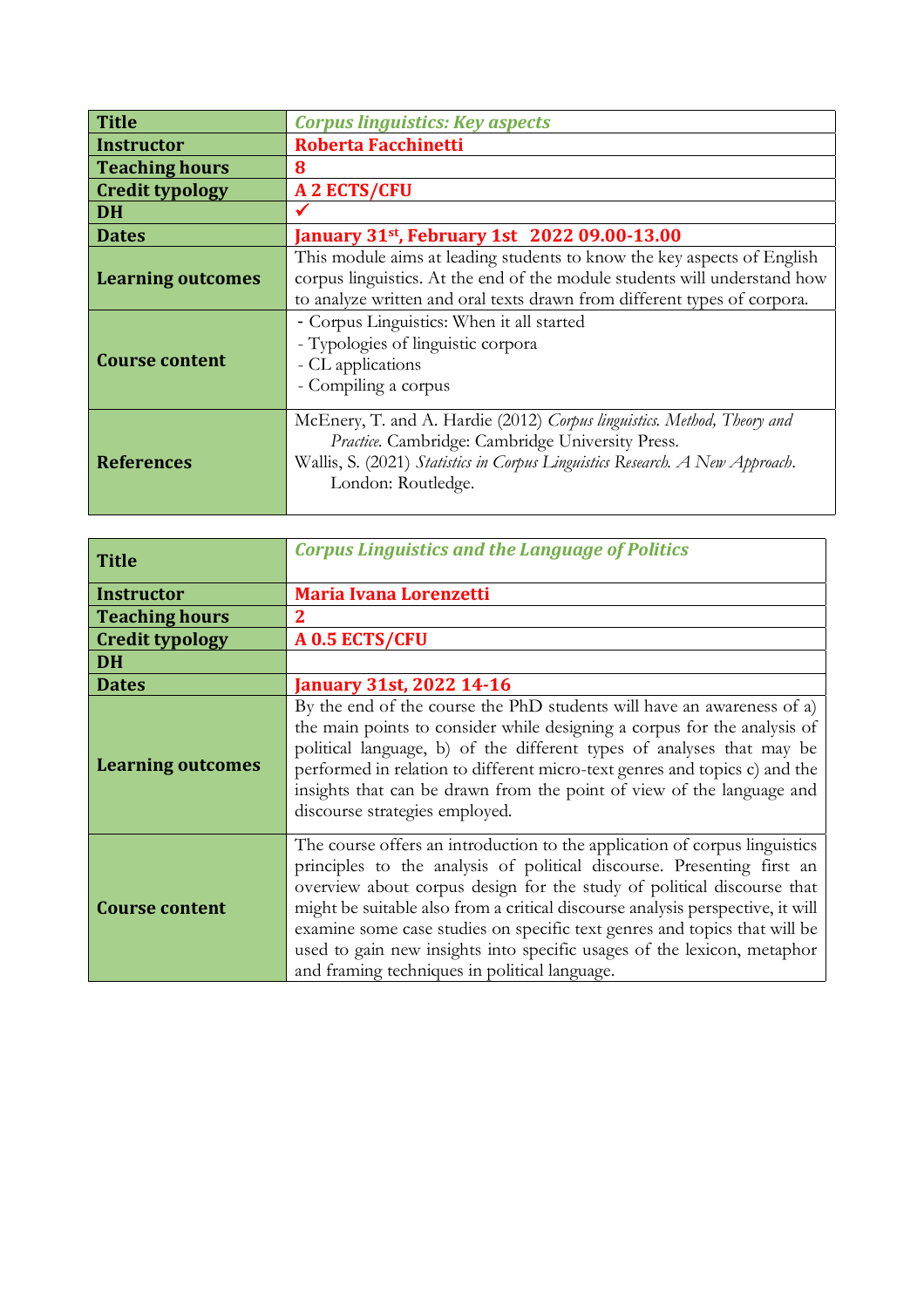| <b>Title</b>             | <b>Corpus linguistics: Key aspects</b>                                                                                                                                                                                            |
|--------------------------|-----------------------------------------------------------------------------------------------------------------------------------------------------------------------------------------------------------------------------------|
| <b>Instructor</b>        | <b>Roberta Facchinetti</b>                                                                                                                                                                                                        |
| <b>Teaching hours</b>    | 8                                                                                                                                                                                                                                 |
| <b>Credit typology</b>   | <b>A 2 ECTS/CFU</b>                                                                                                                                                                                                               |
| <b>DH</b>                |                                                                                                                                                                                                                                   |
| <b>Dates</b>             | January 31 <sup>st</sup> , February 1st 2022 09.00-13.00                                                                                                                                                                          |
| <b>Learning outcomes</b> | This module aims at leading students to know the key aspects of English<br>corpus linguistics. At the end of the module students will understand how<br>to analyze written and oral texts drawn from different types of corpora.  |
| <b>Course content</b>    | - Corpus Linguistics: When it all started<br>- Typologies of linguistic corpora<br>- CL applications<br>- Compiling a corpus                                                                                                      |
| <b>References</b>        | McEnery, T. and A. Hardie (2012) Corpus linguistics. Method, Theory and<br>Practice. Cambridge: Cambridge University Press.<br>Wallis, S. (2021) Statistics in Corpus Linguistics Research. A New Approach.<br>London: Routledge. |

| <b>Title</b>             | <b>Corpus Linguistics and the Language of Politics</b>                                                                                                                                                                                                                                                                                                                                                                                                                                                                    |
|--------------------------|---------------------------------------------------------------------------------------------------------------------------------------------------------------------------------------------------------------------------------------------------------------------------------------------------------------------------------------------------------------------------------------------------------------------------------------------------------------------------------------------------------------------------|
| <b>Instructor</b>        | <b>Maria Ivana Lorenzetti</b>                                                                                                                                                                                                                                                                                                                                                                                                                                                                                             |
| <b>Teaching hours</b>    | 2                                                                                                                                                                                                                                                                                                                                                                                                                                                                                                                         |
| <b>Credit typology</b>   | A 0.5 ECTS/CFU                                                                                                                                                                                                                                                                                                                                                                                                                                                                                                            |
| <b>DH</b>                |                                                                                                                                                                                                                                                                                                                                                                                                                                                                                                                           |
| <b>Dates</b>             | <b>January 31st, 2022 14-16</b>                                                                                                                                                                                                                                                                                                                                                                                                                                                                                           |
| <b>Learning outcomes</b> | By the end of the course the PhD students will have an awareness of a)<br>the main points to consider while designing a corpus for the analysis of<br>political language, b) of the different types of analyses that may be<br>performed in relation to different micro-text genres and topics c) and the<br>insights that can be drawn from the point of view of the language and<br>discourse strategies employed.                                                                                                      |
| <b>Course content</b>    | The course offers an introduction to the application of corpus linguistics<br>principles to the analysis of political discourse. Presenting first an<br>overview about corpus design for the study of political discourse that<br>might be suitable also from a critical discourse analysis perspective, it will<br>examine some case studies on specific text genres and topics that will be<br>used to gain new insights into specific usages of the lexicon, metaphor<br>and framing techniques in political language. |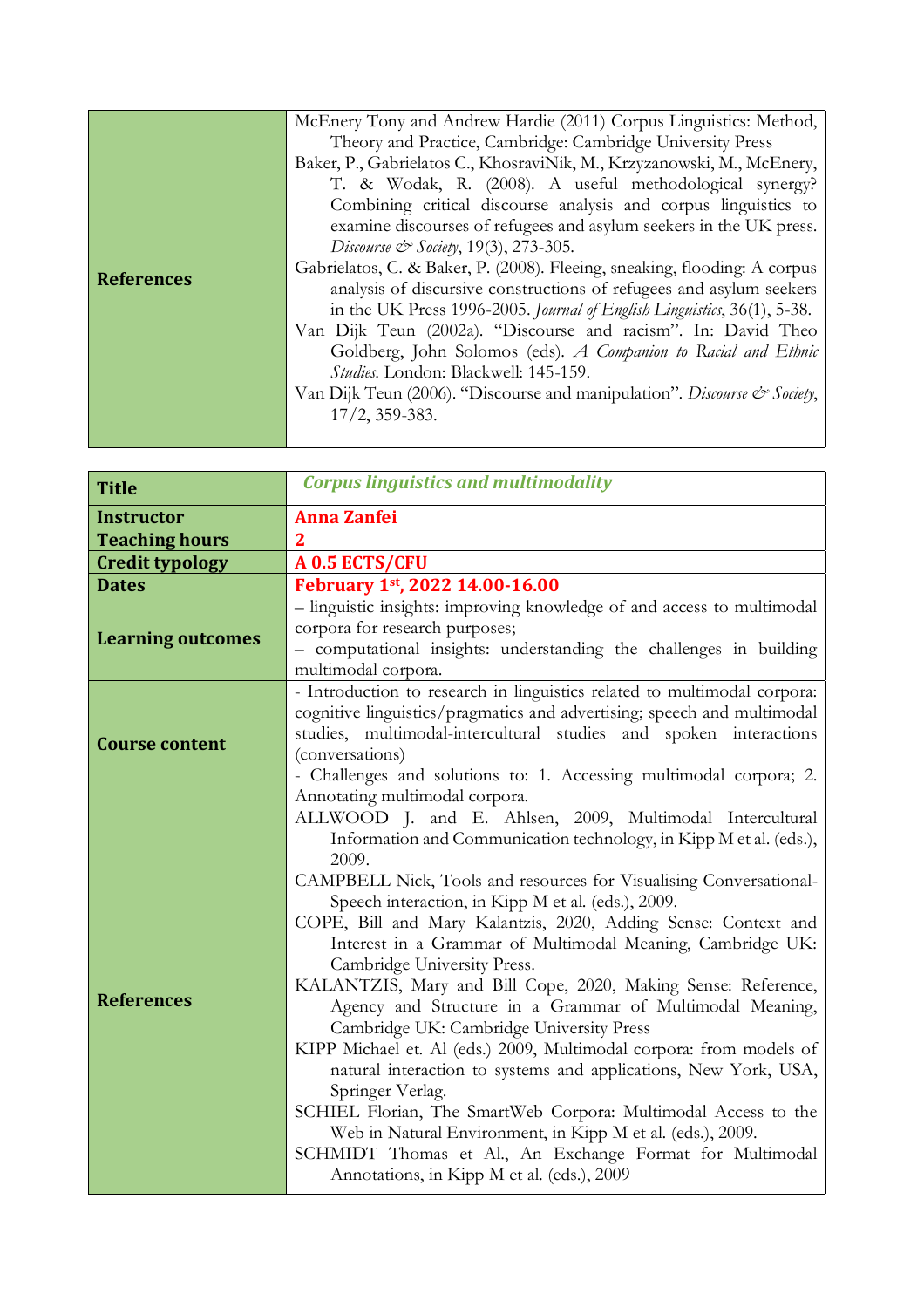|                   | McEnery Tony and Andrew Hardie (2011) Corpus Linguistics: Method,         |
|-------------------|---------------------------------------------------------------------------|
|                   | Theory and Practice, Cambridge: Cambridge University Press                |
|                   | Baker, P., Gabrielatos C., KhosraviNik, M., Krzyzanowski, M., McEnery,    |
|                   | T. & Wodak, R. (2008). A useful methodological synergy?                   |
|                   | Combining critical discourse analysis and corpus linguistics to           |
|                   | examine discourses of refugees and asylum seekers in the UK press.        |
|                   | Discourse & Society, 19(3), 273-305.                                      |
|                   | Gabrielatos, C. & Baker, P. (2008). Fleeing, sneaking, flooding: A corpus |
| <b>References</b> | analysis of discursive constructions of refugees and asylum seekers       |
|                   | in the UK Press 1996-2005. Journal of English Linguistics, 36(1), 5-38.   |
|                   | Van Dijk Teun (2002a). "Discourse and racism". In: David Theo             |
|                   | Goldberg, John Solomos (eds). A Companion to Racial and Ethnic            |
|                   | Studies. London: Blackwell: 145-159.                                      |
|                   | Van Dijk Teun (2006). "Discourse and manipulation". Discourse & Society,  |
|                   | $17/2$ , 359-383.                                                         |
|                   |                                                                           |

| <b>Title</b>             | <b>Corpus linguistics and multimodality</b>                                                                                                                                                                                                                                                                                                                                                                                                                                                                                                                                                                                                                                                                                                                                                                                                                                                                                                                                                                         |
|--------------------------|---------------------------------------------------------------------------------------------------------------------------------------------------------------------------------------------------------------------------------------------------------------------------------------------------------------------------------------------------------------------------------------------------------------------------------------------------------------------------------------------------------------------------------------------------------------------------------------------------------------------------------------------------------------------------------------------------------------------------------------------------------------------------------------------------------------------------------------------------------------------------------------------------------------------------------------------------------------------------------------------------------------------|
| <b>Instructor</b>        | <b>Anna Zanfei</b>                                                                                                                                                                                                                                                                                                                                                                                                                                                                                                                                                                                                                                                                                                                                                                                                                                                                                                                                                                                                  |
| <b>Teaching hours</b>    | $\mathbf{2}$                                                                                                                                                                                                                                                                                                                                                                                                                                                                                                                                                                                                                                                                                                                                                                                                                                                                                                                                                                                                        |
| <b>Credit typology</b>   | A 0.5 ECTS/CFU                                                                                                                                                                                                                                                                                                                                                                                                                                                                                                                                                                                                                                                                                                                                                                                                                                                                                                                                                                                                      |
| <b>Dates</b>             | February 1st, 2022 14.00-16.00                                                                                                                                                                                                                                                                                                                                                                                                                                                                                                                                                                                                                                                                                                                                                                                                                                                                                                                                                                                      |
| <b>Learning outcomes</b> | - linguistic insights: improving knowledge of and access to multimodal<br>corpora for research purposes;<br>- computational insights: understanding the challenges in building<br>multimodal corpora.                                                                                                                                                                                                                                                                                                                                                                                                                                                                                                                                                                                                                                                                                                                                                                                                               |
| <b>Course content</b>    | - Introduction to research in linguistics related to multimodal corpora:<br>cognitive linguistics/pragmatics and advertising; speech and multimodal<br>studies, multimodal-intercultural studies and spoken interactions<br>(conversations)<br>- Challenges and solutions to: 1. Accessing multimodal corpora; 2.<br>Annotating multimodal corpora.                                                                                                                                                                                                                                                                                                                                                                                                                                                                                                                                                                                                                                                                 |
| <b>References</b>        | ALLWOOD J. and E. Ahlsen, 2009, Multimodal Intercultural<br>Information and Communication technology, in Kipp M et al. (eds.),<br>2009.<br>CAMPBELL Nick, Tools and resources for Visualising Conversational-<br>Speech interaction, in Kipp M et al. (eds.), 2009.<br>COPE, Bill and Mary Kalantzis, 2020, Adding Sense: Context and<br>Interest in a Grammar of Multimodal Meaning, Cambridge UK:<br>Cambridge University Press.<br>KALANTZIS, Mary and Bill Cope, 2020, Making Sense: Reference,<br>Agency and Structure in a Grammar of Multimodal Meaning,<br>Cambridge UK: Cambridge University Press<br>KIPP Michael et. Al (eds.) 2009, Multimodal corpora: from models of<br>natural interaction to systems and applications, New York, USA,<br>Springer Verlag.<br>SCHIEL Florian, The SmartWeb Corpora: Multimodal Access to the<br>Web in Natural Environment, in Kipp M et al. (eds.), 2009.<br>SCHMIDT Thomas et Al., An Exchange Format for Multimodal<br>Annotations, in Kipp M et al. (eds.), 2009 |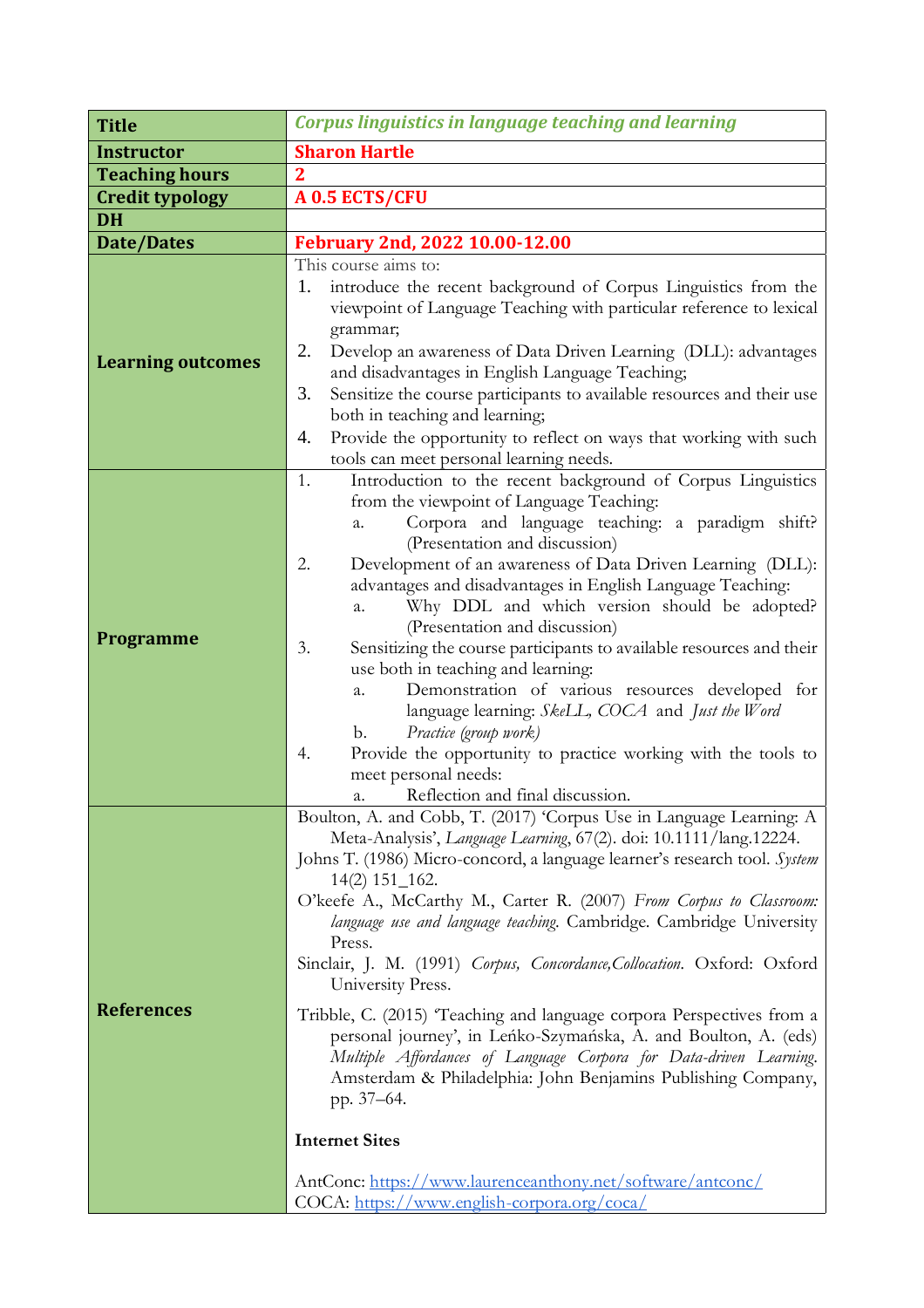| <b>Title</b>             | <b>Corpus linguistics in language teaching and learning</b>                                                                                                                                                                                                                                                                                                                                                                                                                                                                                                                                                                                                                                                                                                                                                                                                                                                                              |
|--------------------------|------------------------------------------------------------------------------------------------------------------------------------------------------------------------------------------------------------------------------------------------------------------------------------------------------------------------------------------------------------------------------------------------------------------------------------------------------------------------------------------------------------------------------------------------------------------------------------------------------------------------------------------------------------------------------------------------------------------------------------------------------------------------------------------------------------------------------------------------------------------------------------------------------------------------------------------|
| <b>Instructor</b>        | <b>Sharon Hartle</b>                                                                                                                                                                                                                                                                                                                                                                                                                                                                                                                                                                                                                                                                                                                                                                                                                                                                                                                     |
| <b>Teaching hours</b>    | $\mathbf 2$                                                                                                                                                                                                                                                                                                                                                                                                                                                                                                                                                                                                                                                                                                                                                                                                                                                                                                                              |
| <b>Credit typology</b>   | A 0.5 ECTS/CFU                                                                                                                                                                                                                                                                                                                                                                                                                                                                                                                                                                                                                                                                                                                                                                                                                                                                                                                           |
| <b>DH</b>                |                                                                                                                                                                                                                                                                                                                                                                                                                                                                                                                                                                                                                                                                                                                                                                                                                                                                                                                                          |
| Date/Dates               | February 2nd, 2022 10.00-12.00                                                                                                                                                                                                                                                                                                                                                                                                                                                                                                                                                                                                                                                                                                                                                                                                                                                                                                           |
| <b>Learning outcomes</b> | This course aims to:<br>introduce the recent background of Corpus Linguistics from the<br>1.<br>viewpoint of Language Teaching with particular reference to lexical<br>grammar;<br>Develop an awareness of Data Driven Learning (DLL): advantages<br>2.<br>and disadvantages in English Language Teaching;<br>Sensitize the course participants to available resources and their use<br>3.<br>both in teaching and learning;<br>Provide the opportunity to reflect on ways that working with such<br>4.<br>tools can meet personal learning needs.                                                                                                                                                                                                                                                                                                                                                                                       |
| <b>Programme</b>         | Introduction to the recent background of Corpus Linguistics<br>1.<br>from the viewpoint of Language Teaching:<br>Corpora and language teaching: a paradigm shift?<br>a.<br>(Presentation and discussion)<br>Development of an awareness of Data Driven Learning (DLL):<br>2.<br>advantages and disadvantages in English Language Teaching:<br>Why DDL and which version should be adopted?<br>a.<br>(Presentation and discussion)<br>Sensitizing the course participants to available resources and their<br>3.<br>use both in teaching and learning:<br>Demonstration of various resources developed for<br>a.<br>language learning: SkeLL, COCA and Just the Word<br>Practice (group work)<br>b.<br>Provide the opportunity to practice working with the tools to<br>4.<br>meet personal needs:<br>Reflection and final discussion.<br>a.                                                                                              |
| <b>References</b>        | Boulton, A. and Cobb, T. (2017) 'Corpus Use in Language Learning: A<br>Meta-Analysis', Language Learning, 67(2). doi: 10.1111/lang.12224.<br>Johns T. (1986) Micro-concord, a language learner's research tool. System<br>$14(2)$ 151_162.<br>O'keefe A., McCarthy M., Carter R. (2007) From Corpus to Classroom:<br>language use and language teaching. Cambridge. Cambridge University<br>Press.<br>Sinclair, J. M. (1991) Corpus, Concordance, Collocation. Oxford: Oxford<br>University Press.<br>Tribble, C. (2015) 'Teaching and language corpora Perspectives from a<br>personal journey', in Leńko-Szymańska, A. and Boulton, A. (eds)<br>Multiple Affordances of Language Corpora for Data-driven Learning.<br>Amsterdam & Philadelphia: John Benjamins Publishing Company,<br>pp. 37–64.<br><b>Internet Sites</b><br>AntConc: https://www.laurenceanthony.net/software/antconc/<br>COCA: https://www.english-corpora.org/coca/ |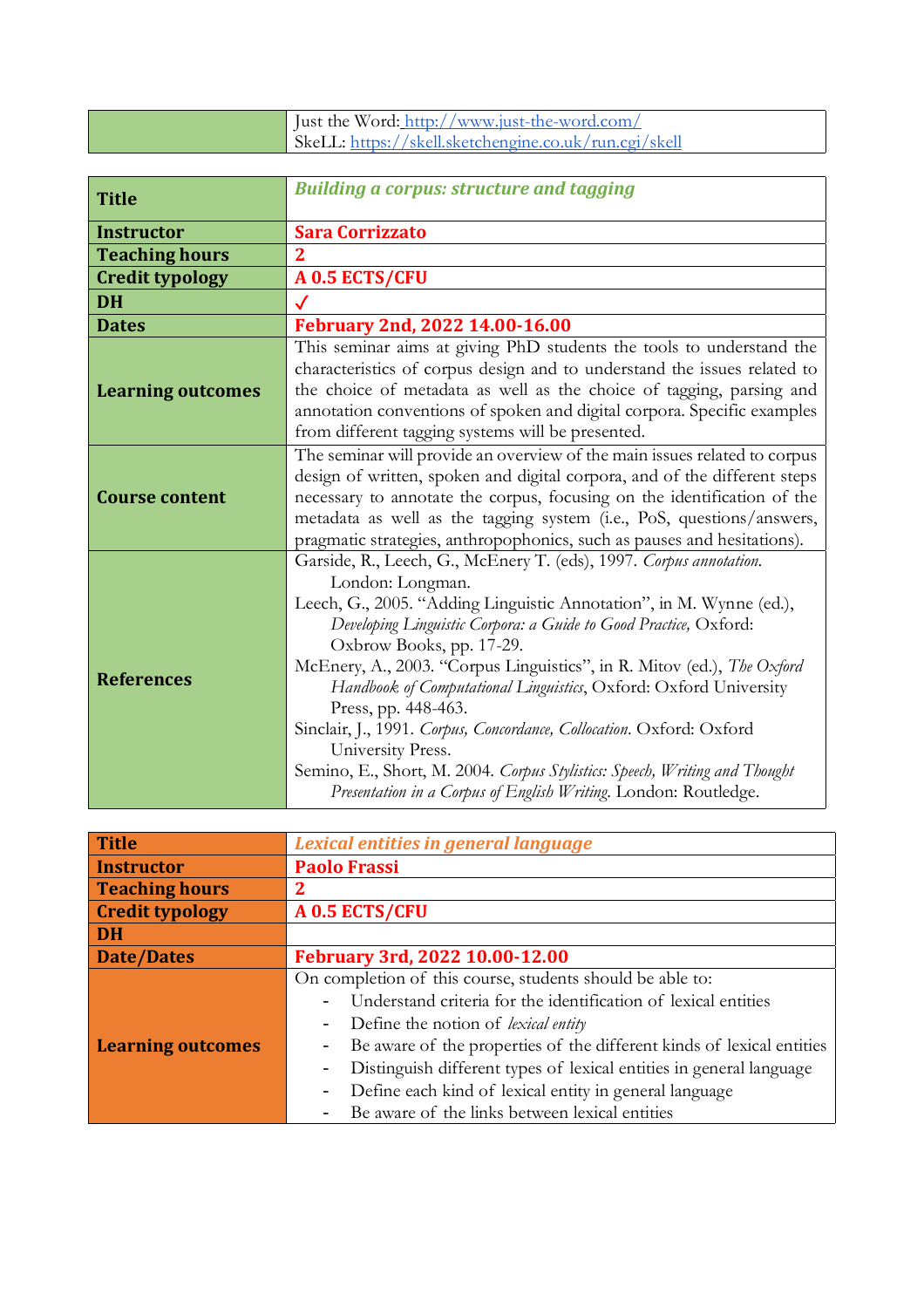| I Just the Word: http://www.just-the-word.com/        |
|-------------------------------------------------------|
| SkeLL: https://skell.sketchengine.co.uk/run.cgi/skell |

| <b>Title</b>             | <b>Building a corpus: structure and tagging</b>                                                                                                                                                                                                                                                                                                                                                                                                                                                                                                                                                                                                                                  |
|--------------------------|----------------------------------------------------------------------------------------------------------------------------------------------------------------------------------------------------------------------------------------------------------------------------------------------------------------------------------------------------------------------------------------------------------------------------------------------------------------------------------------------------------------------------------------------------------------------------------------------------------------------------------------------------------------------------------|
| <b>Instructor</b>        | <b>Sara Corrizzato</b>                                                                                                                                                                                                                                                                                                                                                                                                                                                                                                                                                                                                                                                           |
| <b>Teaching hours</b>    | 2                                                                                                                                                                                                                                                                                                                                                                                                                                                                                                                                                                                                                                                                                |
| <b>Credit typology</b>   | A 0.5 ECTS/CFU                                                                                                                                                                                                                                                                                                                                                                                                                                                                                                                                                                                                                                                                   |
| <b>DH</b>                |                                                                                                                                                                                                                                                                                                                                                                                                                                                                                                                                                                                                                                                                                  |
| <b>Dates</b>             | February 2nd, 2022 14.00-16.00                                                                                                                                                                                                                                                                                                                                                                                                                                                                                                                                                                                                                                                   |
| <b>Learning outcomes</b> | This seminar aims at giving PhD students the tools to understand the<br>characteristics of corpus design and to understand the issues related to<br>the choice of metadata as well as the choice of tagging, parsing and<br>annotation conventions of spoken and digital corpora. Specific examples<br>from different tagging systems will be presented.                                                                                                                                                                                                                                                                                                                         |
| <b>Course content</b>    | The seminar will provide an overview of the main issues related to corpus<br>design of written, spoken and digital corpora, and of the different steps<br>necessary to annotate the corpus, focusing on the identification of the<br>metadata as well as the tagging system (i.e., PoS, questions/answers,<br>pragmatic strategies, anthropophonics, such as pauses and hesitations).                                                                                                                                                                                                                                                                                            |
| <b>References</b>        | Garside, R., Leech, G., McEnery T. (eds), 1997. Corpus annotation.<br>London: Longman.<br>Leech, G., 2005. "Adding Linguistic Annotation", in M. Wynne (ed.),<br>Developing Linguistic Corpora: a Guide to Good Practice, Oxford:<br>Oxbrow Books, pp. 17-29.<br>McEnery, A., 2003. "Corpus Linguistics", in R. Mitov (ed.), The Oxford<br>Handbook of Computational Linguistics, Oxford: Oxford University<br>Press, pp. 448-463.<br>Sinclair, J., 1991. Corpus, Concordance, Collocation. Oxford: Oxford<br>University Press.<br>Semino, E., Short, M. 2004. Corpus Stylistics: Speech, Writing and Thought<br>Presentation in a Corpus of English Writing. London: Routledge. |

| <b>Title</b>             | Lexical entities in general language                                       |
|--------------------------|----------------------------------------------------------------------------|
| <b>Instructor</b>        | <b>Paolo Frassi</b>                                                        |
| <b>Teaching hours</b>    | 2                                                                          |
| <b>Credit typology</b>   | A 0.5 ECTS/CFU                                                             |
| <b>DH</b>                |                                                                            |
| Date/Dates               | February 3rd, 2022 10.00-12.00                                             |
| <b>Learning outcomes</b> | On completion of this course, students should be able to:                  |
|                          | Understand criteria for the identification of lexical entities<br>-        |
|                          | Define the notion of <i>lexical entity</i><br>$\overline{\phantom{0}}$     |
|                          | Be aware of the properties of the different kinds of lexical entities<br>- |
|                          | Distinguish different types of lexical entities in general language<br>-   |
|                          | Define each kind of lexical entity in general language                     |
|                          | Be aware of the links between lexical entities                             |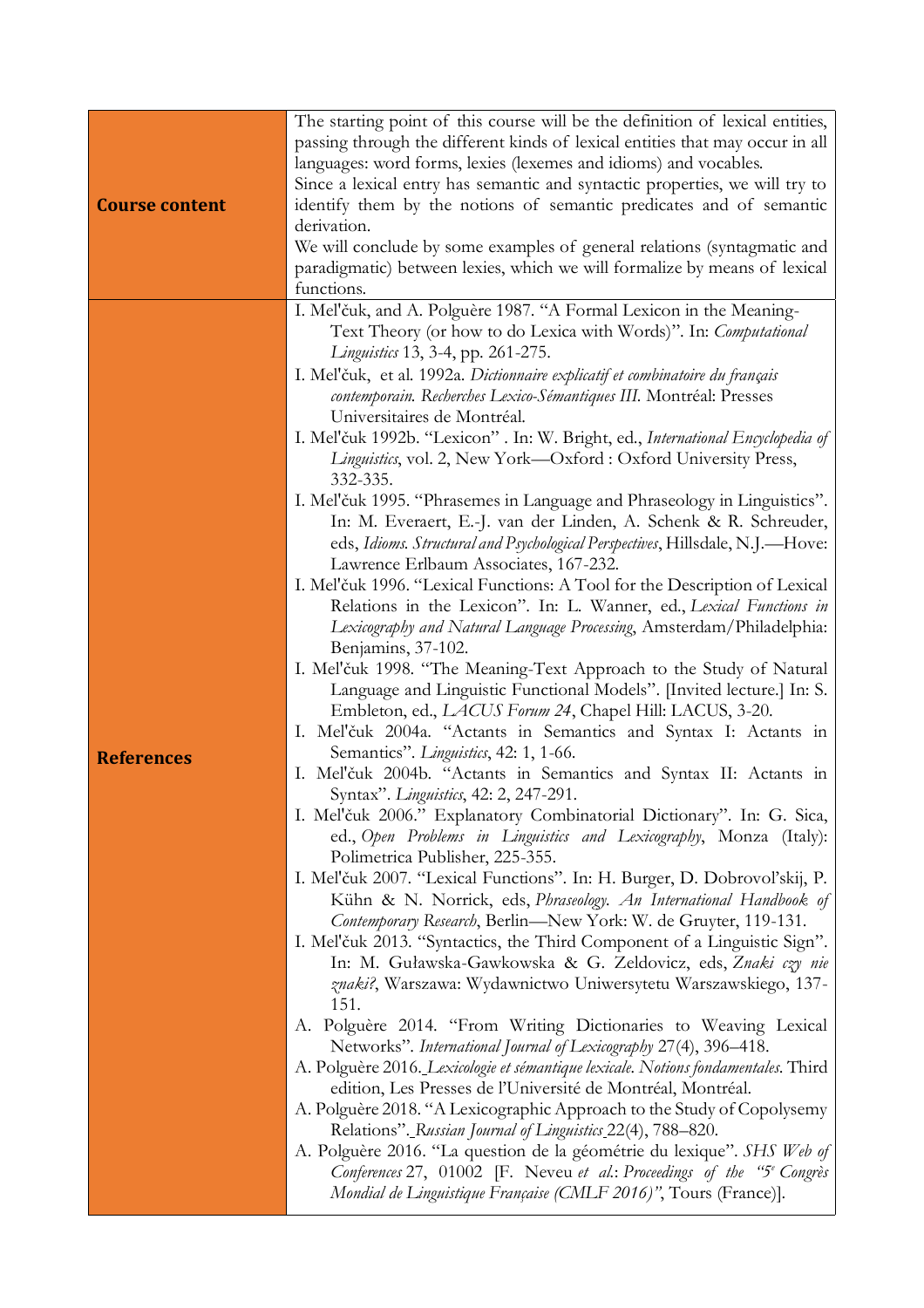| <b>Course content</b> | The starting point of this course will be the definition of lexical entities,<br>passing through the different kinds of lexical entities that may occur in all<br>languages: word forms, lexies (lexemes and idioms) and vocables.<br>Since a lexical entry has semantic and syntactic properties, we will try to<br>identify them by the notions of semantic predicates and of semantic<br>derivation.<br>We will conclude by some examples of general relations (syntagmatic and<br>paradigmatic) between lexies, which we will formalize by means of lexical<br>functions.                                                                                                                                                                                                                                                                                                                                                                                                                                                                                                                                                                                                                                                                                                                                                                                                                                                                                                                                                                                                                                                                                                                                                                                                                                                                                                                                                                                                                                                                                                                                                                                                                                                                                                                                                                                                                                                                                                                                                                                                                                                                                                                                                                                                                                   |
|-----------------------|-----------------------------------------------------------------------------------------------------------------------------------------------------------------------------------------------------------------------------------------------------------------------------------------------------------------------------------------------------------------------------------------------------------------------------------------------------------------------------------------------------------------------------------------------------------------------------------------------------------------------------------------------------------------------------------------------------------------------------------------------------------------------------------------------------------------------------------------------------------------------------------------------------------------------------------------------------------------------------------------------------------------------------------------------------------------------------------------------------------------------------------------------------------------------------------------------------------------------------------------------------------------------------------------------------------------------------------------------------------------------------------------------------------------------------------------------------------------------------------------------------------------------------------------------------------------------------------------------------------------------------------------------------------------------------------------------------------------------------------------------------------------------------------------------------------------------------------------------------------------------------------------------------------------------------------------------------------------------------------------------------------------------------------------------------------------------------------------------------------------------------------------------------------------------------------------------------------------------------------------------------------------------------------------------------------------------------------------------------------------------------------------------------------------------------------------------------------------------------------------------------------------------------------------------------------------------------------------------------------------------------------------------------------------------------------------------------------------------------------------------------------------------------------------------------------------|
| <b>References</b>     | I. Mel'čuk, and A. Polguère 1987. "A Formal Lexicon in the Meaning-<br>Text Theory (or how to do Lexica with Words)". In: Computational<br>Linguistics 13, 3-4, pp. 261-275.<br>I. Mel'čuk, et al. 1992a. Dictionnaire explicatif et combinatoire du français<br>contemporain. Recherches Lexico-Sémantiques III. Montréal: Presses<br>Universitaires de Montréal.<br>I. Mel'čuk 1992b. "Lexicon" . In: W. Bright, ed., International Encyclopedia of<br>Linguistics, vol. 2, New York-Oxford : Oxford University Press,<br>332-335.<br>I. Mel'čuk 1995. "Phrasemes in Language and Phraseology in Linguistics".<br>In: M. Everaert, E.-J. van der Linden, A. Schenk & R. Schreuder,<br>eds, Idioms. Structural and Psychological Perspectives, Hillsdale, N.J.-Hove:<br>Lawrence Erlbaum Associates, 167-232.<br>I. Mel'čuk 1996. "Lexical Functions: A Tool for the Description of Lexical<br>Relations in the Lexicon". In: L. Wanner, ed., Lexical Functions in<br>Lexicography and Natural Language Processing, Amsterdam/Philadelphia:<br>Benjamins, 37-102.<br>I. Mel'čuk 1998. "The Meaning-Text Approach to the Study of Natural<br>Language and Linguistic Functional Models". [Invited lecture.] In: S.<br>Embleton, ed., LACUS Forum 24, Chapel Hill: LACUS, 3-20.<br>I. Mel'čuk 2004a. "Actants in Semantics and Syntax I: Actants in<br>Semantics". Linguistics, 42: 1, 1-66.<br>I. Mel'čuk 2004b. "Actants in Semantics and Syntax II: Actants in<br>Syntax". Linguistics, 42: 2, 247-291.<br>I. Mel'čuk 2006." Explanatory Combinatorial Dictionary". In: G. Sica,<br>ed., Open Problems in Linguistics and Lexicography, Monza (Italy):<br>Polimetrica Publisher, 225-355.<br>I. Mel'čuk 2007. "Lexical Functions". In: H. Burger, D. Dobrovol'skij, P.<br>Kühn & N. Norrick, eds, Phraseology. An International Handbook of<br>Contemporary Research, Berlin-New York: W. de Gruyter, 119-131.<br>I. Mel'čuk 2013. "Syntactics, the Third Component of a Linguistic Sign".<br>In: M. Guławska-Gawkowska & G. Zeldovicz, eds, Znaki czy nie<br>znaki?, Warszawa: Wydawnictwo Uniwersytetu Warszawskiego, 137-<br>151.<br>A. Polguère 2014. "From Writing Dictionaries to Weaving Lexical<br>Networks". International Journal of Lexicography 27(4), 396-418.<br>A. Polguère 2016. Lexicologie et sémantique lexicale. Notions fondamentales. Third<br>edition, Les Presses de l'Université de Montréal, Montréal.<br>A. Polguère 2018. "A Lexicographic Approach to the Study of Copolysemy<br>Relations". Russian Journal of Linguistics 22(4), 788–820.<br>A. Polguère 2016. "La question de la géométrie du lexique". SHS Web of<br>Conferences 27, 01002 [F. Neveu et al.: Proceedings of the "5 <sup>e</sup> Congrès"<br>Mondial de Linguistique Française (CMLF 2016)", Tours (France)]. |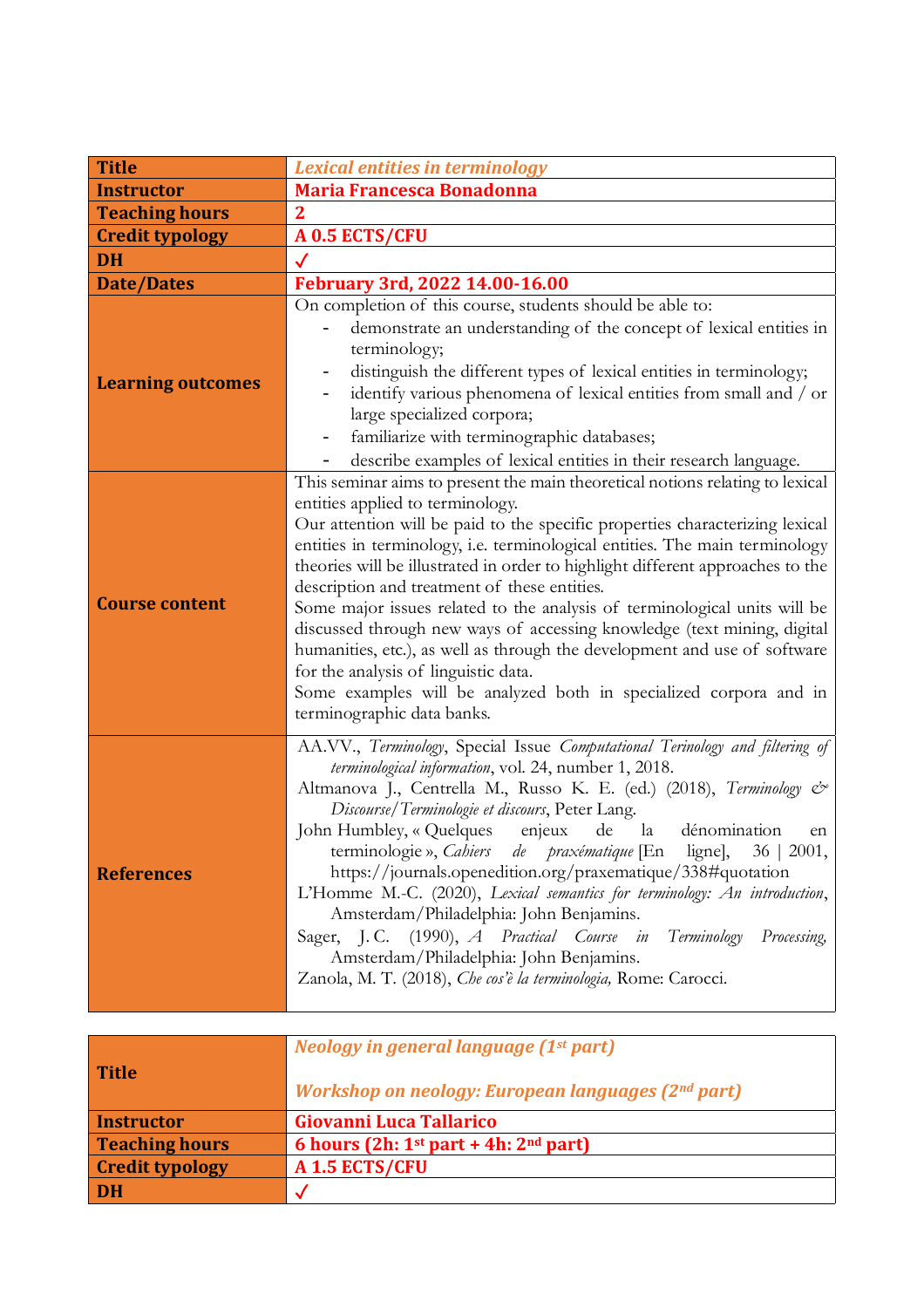| <b>Title</b>             | <b>Lexical entities in terminology</b>                                                                                                                                                                                                                                                                                                                                                                                                                                                                                                                                                                                                                                                                                                                                                             |
|--------------------------|----------------------------------------------------------------------------------------------------------------------------------------------------------------------------------------------------------------------------------------------------------------------------------------------------------------------------------------------------------------------------------------------------------------------------------------------------------------------------------------------------------------------------------------------------------------------------------------------------------------------------------------------------------------------------------------------------------------------------------------------------------------------------------------------------|
| <b>Instructor</b>        | <b>Maria Francesca Bonadonna</b>                                                                                                                                                                                                                                                                                                                                                                                                                                                                                                                                                                                                                                                                                                                                                                   |
| <b>Teaching hours</b>    | $\mathbf 2$                                                                                                                                                                                                                                                                                                                                                                                                                                                                                                                                                                                                                                                                                                                                                                                        |
| <b>Credit typology</b>   | A 0.5 ECTS/CFU                                                                                                                                                                                                                                                                                                                                                                                                                                                                                                                                                                                                                                                                                                                                                                                     |
| <b>DH</b>                |                                                                                                                                                                                                                                                                                                                                                                                                                                                                                                                                                                                                                                                                                                                                                                                                    |
| <b>Date/Dates</b>        | February 3rd, 2022 14.00-16.00                                                                                                                                                                                                                                                                                                                                                                                                                                                                                                                                                                                                                                                                                                                                                                     |
| <b>Learning outcomes</b> | On completion of this course, students should be able to:<br>demonstrate an understanding of the concept of lexical entities in<br>terminology;<br>distinguish the different types of lexical entities in terminology;<br>$\qquad \qquad -$<br>identify various phenomena of lexical entities from small and / or<br>large specialized corpora;<br>familiarize with terminographic databases;<br>$\qquad \qquad -$<br>describe examples of lexical entities in their research language.                                                                                                                                                                                                                                                                                                            |
| <b>Course content</b>    | This seminar aims to present the main theoretical notions relating to lexical<br>entities applied to terminology.<br>Our attention will be paid to the specific properties characterizing lexical<br>entities in terminology, i.e. terminological entities. The main terminology<br>theories will be illustrated in order to highlight different approaches to the<br>description and treatment of these entities.<br>Some major issues related to the analysis of terminological units will be<br>discussed through new ways of accessing knowledge (text mining, digital<br>humanities, etc.), as well as through the development and use of software<br>for the analysis of linguistic data.<br>Some examples will be analyzed both in specialized corpora and in<br>terminographic data banks. |
| <b>References</b>        | AA.VV., Terminology, Special Issue Computational Terinology and filtering of<br>terminological information, vol. 24, number 1, 2018.<br>Altmanova J., Centrella M., Russo K. E. (ed.) (2018), Terminology &<br>Discourse/Terminologie et discours, Peter Lang.<br>John Humbley, « Quelques enjeux de la dénomination<br>en<br>terminologie », Cahiers de praxématique [En ligne], 36   2001,<br>https://journals.openedition.org/praxematique/338#quotation<br>L'Homme M.-C. (2020), Lexical semantics for terminology: An introduction,<br>Amsterdam/Philadelphia: John Benjamins.<br>Sager, J.C. (1990), A Practical Course in<br>Terminology<br>Processing,<br>Amsterdam/Philadelphia: John Benjamins.<br>Zanola, M. T. (2018), Che cos'è la terminologia, Rome: Carocci.                       |

| <b>Title</b>           | Neology in general language (1 <sup>st</sup> part)<br><b>Workshop on neology: European languages (2nd part)</b> |
|------------------------|-----------------------------------------------------------------------------------------------------------------|
| <b>Instructor</b>      | Giovanni Luca Tallarico                                                                                         |
| <b>Teaching hours</b>  | 6 hours (2h: $1st$ part + 4h: $2nd$ part)                                                                       |
| <b>Credit typology</b> | A 1.5 ECTS/CFU                                                                                                  |
| DH                     |                                                                                                                 |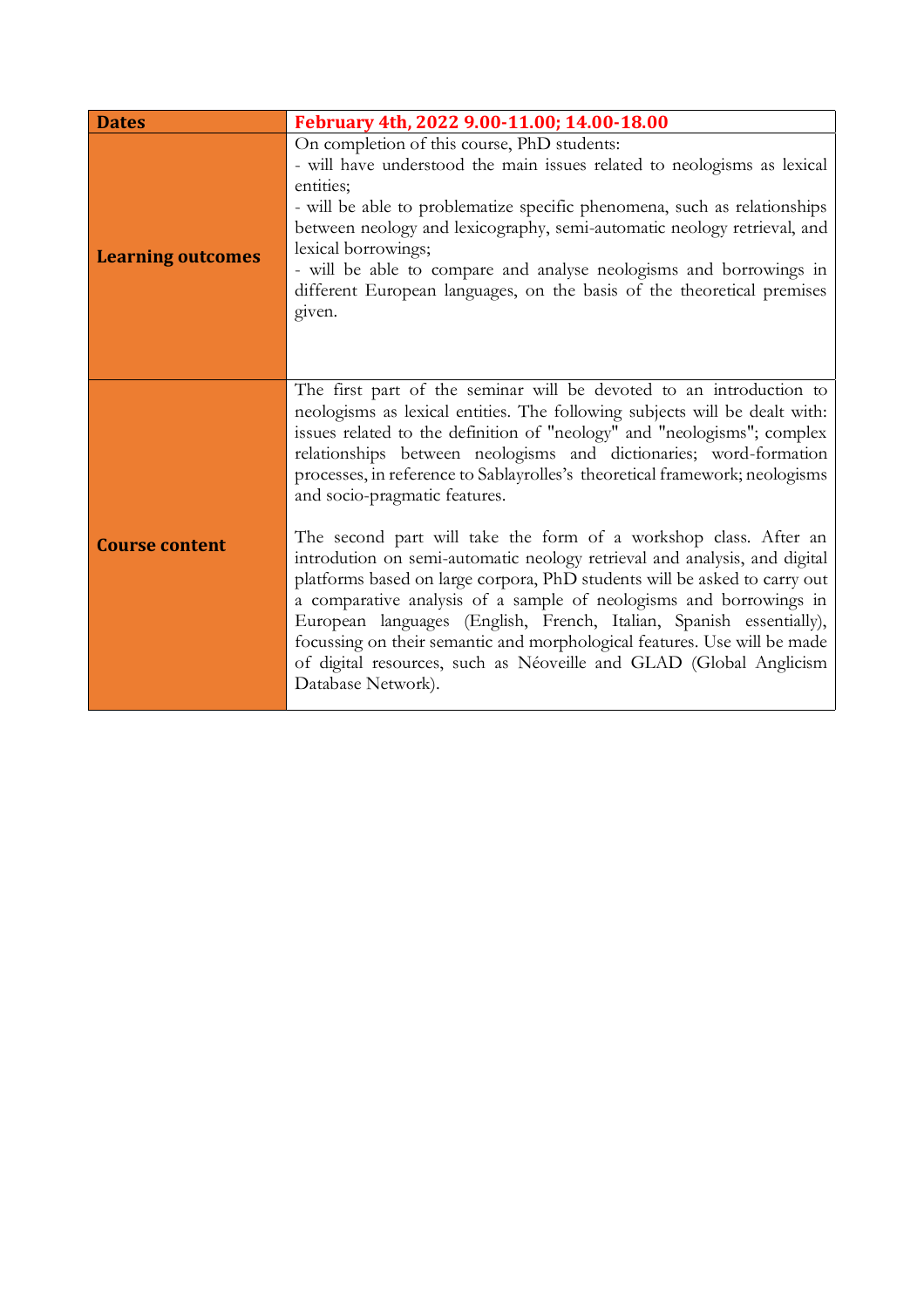| <b>Dates</b>             | February 4th, 2022 9.00-11.00; 14.00-18.00                                                                                                                                                                                                                                                                                                                                                                                                                                                                                                                                                                                                                                                                                                                                                                                                                                                                                                                           |
|--------------------------|----------------------------------------------------------------------------------------------------------------------------------------------------------------------------------------------------------------------------------------------------------------------------------------------------------------------------------------------------------------------------------------------------------------------------------------------------------------------------------------------------------------------------------------------------------------------------------------------------------------------------------------------------------------------------------------------------------------------------------------------------------------------------------------------------------------------------------------------------------------------------------------------------------------------------------------------------------------------|
| <b>Learning outcomes</b> | On completion of this course, PhD students:<br>- will have understood the main issues related to neologisms as lexical<br>entities;<br>- will be able to problematize specific phenomena, such as relationships<br>between neology and lexicography, semi-automatic neology retrieval, and<br>lexical borrowings;<br>- will be able to compare and analyse neologisms and borrowings in<br>different European languages, on the basis of the theoretical premises<br>given.                                                                                                                                                                                                                                                                                                                                                                                                                                                                                          |
| <b>Course content</b>    | The first part of the seminar will be devoted to an introduction to<br>neologisms as lexical entities. The following subjects will be dealt with:<br>issues related to the definition of "neology" and "neologisms"; complex<br>relationships between neologisms and dictionaries; word-formation<br>processes, in reference to Sablayrolles's theoretical framework; neologisms<br>and socio-pragmatic features.<br>The second part will take the form of a workshop class. After an<br>introdution on semi-automatic neology retrieval and analysis, and digital<br>platforms based on large corpora, PhD students will be asked to carry out<br>a comparative analysis of a sample of neologisms and borrowings in<br>European languages (English, French, Italian, Spanish essentially),<br>focussing on their semantic and morphological features. Use will be made<br>of digital resources, such as Néoveille and GLAD (Global Anglicism<br>Database Network). |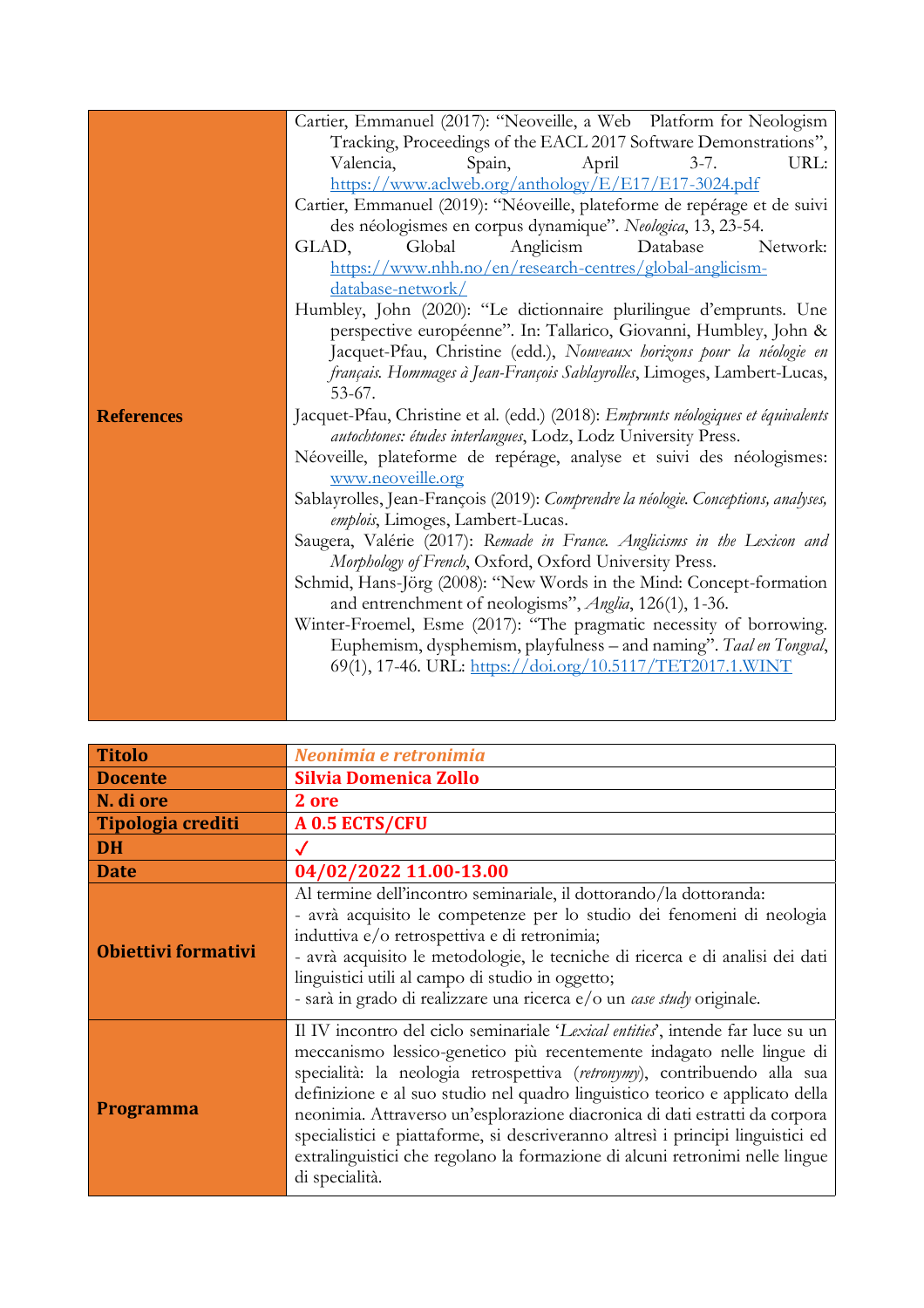|                   | Cartier, Emmanuel (2017): "Neoveille, a Web Platform for Neologism                                                                                  |
|-------------------|-----------------------------------------------------------------------------------------------------------------------------------------------------|
|                   | Tracking, Proceedings of the EACL 2017 Software Demonstrations",                                                                                    |
|                   | URL:<br>Valencia,<br>Spain,<br>April<br>$3 - 7$ .                                                                                                   |
|                   | https://www.aclweb.org/anthology/E/E17/E17-3024.pdf                                                                                                 |
|                   | Cartier, Emmanuel (2019): "Néoveille, plateforme de repérage et de suivi                                                                            |
|                   | des néologismes en corpus dynamique". Neologica, 13, 23-54.                                                                                         |
|                   | Global<br>Anglicism<br>Database<br>Network:<br>GLAD,                                                                                                |
|                   | https://www.nhh.no/en/research-centres/global-anglicism-                                                                                            |
|                   | database-network/                                                                                                                                   |
|                   | Humbley, John (2020): "Le dictionnaire plurilingue d'emprunts. Une                                                                                  |
|                   | perspective européenne". In: Tallarico, Giovanni, Humbley, John &                                                                                   |
|                   | Jacquet-Pfau, Christine (edd.), Nouveaux horizons pour la néologie en                                                                               |
|                   | français. Hommages à Jean-François Sablayrolles, Limoges, Lambert-Lucas,                                                                            |
|                   | $53-67.$                                                                                                                                            |
| <b>References</b> | Jacquet-Pfau, Christine et al. (edd.) (2018): Emprunts néologiques et équivalents<br>autochtones: études interlangues, Lodz, Lodz University Press. |
|                   | Néoveille, plateforme de repérage, analyse et suivi des néologismes:                                                                                |
|                   | www.neoveille.org                                                                                                                                   |
|                   | Sablayrolles, Jean-François (2019): Comprendre la néologie. Conceptions, analyses,                                                                  |
|                   | emplois, Limoges, Lambert-Lucas.                                                                                                                    |
|                   | Saugera, Valérie (2017): Remade in France. Anglicisms in the Lexicon and                                                                            |
|                   | Morphology of French, Oxford, Oxford University Press.                                                                                              |
|                   | Schmid, Hans-Jörg (2008): "New Words in the Mind: Concept-formation                                                                                 |
|                   | and entrenchment of neologisms", Anglia, 126(1), 1-36.                                                                                              |
|                   | Winter-Froemel, Esme (2017): "The pragmatic necessity of borrowing.                                                                                 |
|                   | Euphemism, dysphemism, playfulness - and naming". Taal en Tongval,                                                                                  |
|                   | 69(1), 17-46. URL: https://doi.org/10.5117/TET2017.1.WINT                                                                                           |
|                   |                                                                                                                                                     |
|                   |                                                                                                                                                     |

| <b>Titolo</b>              | Neonimia e retronimia                                                                                                                                                                                                                                                                                                                                                                                                                                                                                                                                                                    |
|----------------------------|------------------------------------------------------------------------------------------------------------------------------------------------------------------------------------------------------------------------------------------------------------------------------------------------------------------------------------------------------------------------------------------------------------------------------------------------------------------------------------------------------------------------------------------------------------------------------------------|
| <b>Docente</b>             | <b>Silvia Domenica Zollo</b>                                                                                                                                                                                                                                                                                                                                                                                                                                                                                                                                                             |
| N. di ore                  | 2 ore                                                                                                                                                                                                                                                                                                                                                                                                                                                                                                                                                                                    |
| <b>Tipologia crediti</b>   | A 0.5 ECTS/CFU                                                                                                                                                                                                                                                                                                                                                                                                                                                                                                                                                                           |
| <b>DH</b>                  |                                                                                                                                                                                                                                                                                                                                                                                                                                                                                                                                                                                          |
| <b>Date</b>                | 04/02/2022 11.00-13.00                                                                                                                                                                                                                                                                                                                                                                                                                                                                                                                                                                   |
| <b>Obiettivi formativi</b> | Al termine dell'incontro seminariale, il dottorando/la dottoranda:<br>- avrà acquisito le competenze per lo studio dei fenomeni di neologia<br>induttiva e/o retrospettiva e di retronimia;<br>- avrà acquisito le metodologie, le tecniche di ricerca e di analisi dei dati<br>linguistici utili al campo di studio in oggetto;<br>- sarà in grado di realizzare una ricerca e/o un case study originale.                                                                                                                                                                               |
| <b>Programma</b>           | Il IV incontro del ciclo seminariale 'Lexical entities', intende far luce su un<br>meccanismo lessico-genetico più recentemente indagato nelle lingue di<br>specialità: la neologia retrospettiva (retronymy), contribuendo alla sua<br>definizione e al suo studio nel quadro linguistico teorico e applicato della<br>neonimia. Attraverso un'esplorazione diacronica di dati estratti da corpora<br>specialistici e piattaforme, si descriveranno altresì i principi linguistici ed<br>extralinguistici che regolano la formazione di alcuni retronimi nelle lingue<br>di specialità. |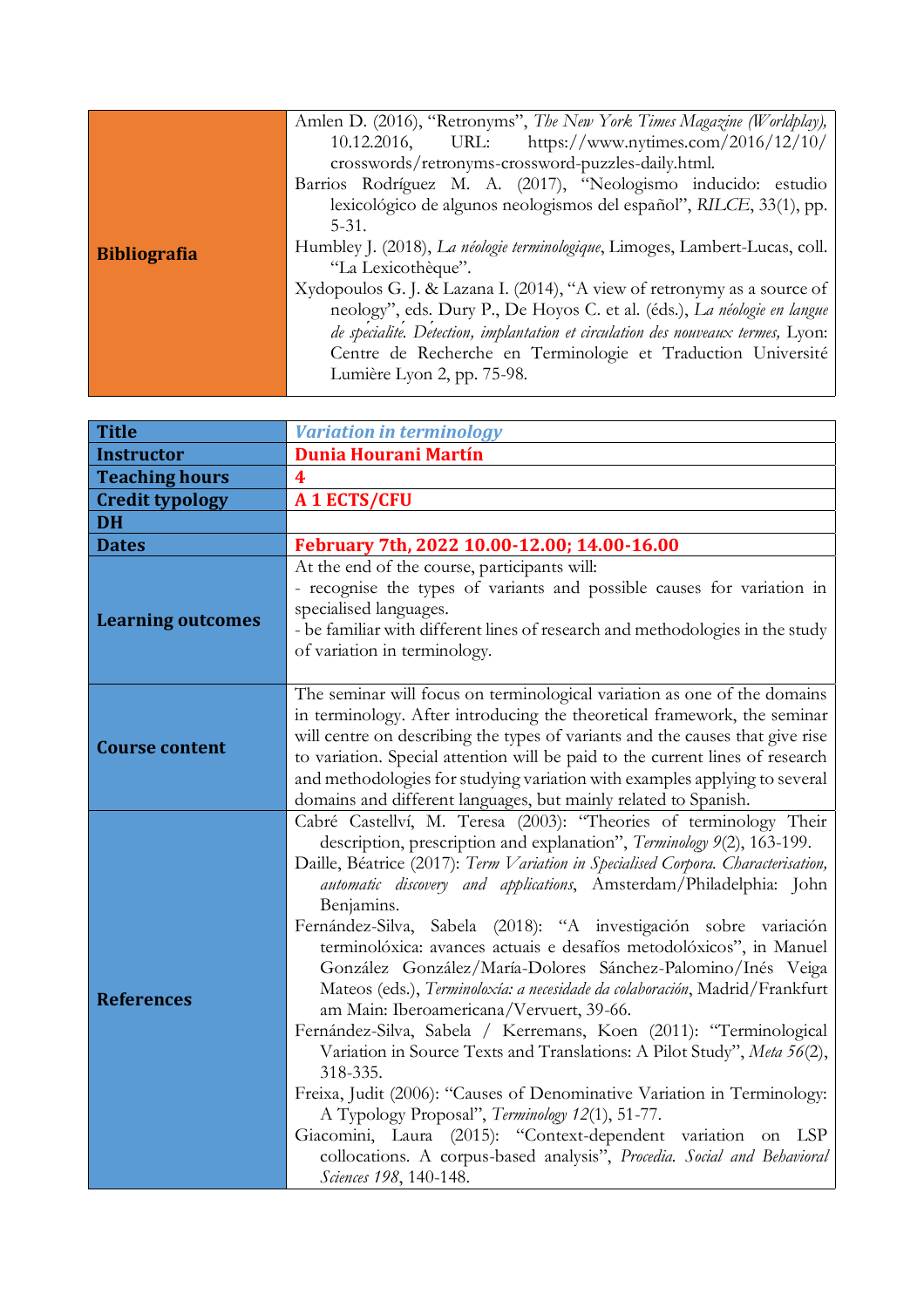| Amlen D. (2016), "Retronyms", The New York Times Magazine (Worldplay),<br>URL: https://www.nytimes.com/2016/12/10/<br>10.12.2016,<br>crosswords/retronyms-crossword-puzzles-daily.html.<br>Barrios Rodríguez M. A. (2017), "Neologismo inducido: estudio<br>lexicológico de algunos neologismos del español", RILCE, 33(1), pp.<br>$5 - 31$ .<br>Humbley J. (2018), La néologie terminologique, Limoges, Lambert-Lucas, coll.<br><b>Bibliografia</b><br>"La Lexicothèque".<br>Xydopoulos G. J. & Lazana I. (2014), "A view of retronymy as a source of<br>neology", eds. Dury P., De Hoyos C. et al. (éds.), La néologie en langue<br>de specialite. Detection, implantation et circulation des nouveaux termes, Lyon:<br>Centre de Recherche en Terminologie et Traduction Université<br>Lumière Lyon 2, pp. 75-98. |
|----------------------------------------------------------------------------------------------------------------------------------------------------------------------------------------------------------------------------------------------------------------------------------------------------------------------------------------------------------------------------------------------------------------------------------------------------------------------------------------------------------------------------------------------------------------------------------------------------------------------------------------------------------------------------------------------------------------------------------------------------------------------------------------------------------------------|
|----------------------------------------------------------------------------------------------------------------------------------------------------------------------------------------------------------------------------------------------------------------------------------------------------------------------------------------------------------------------------------------------------------------------------------------------------------------------------------------------------------------------------------------------------------------------------------------------------------------------------------------------------------------------------------------------------------------------------------------------------------------------------------------------------------------------|

| <b>Title</b>             | <b>Variation in terminology</b>                                                                                                                                                                                                                                                                                                                                                                                                                                                                                                                                                                                                                                                                                                                                                                                                                                                                                                                                                                                                                                                                                             |
|--------------------------|-----------------------------------------------------------------------------------------------------------------------------------------------------------------------------------------------------------------------------------------------------------------------------------------------------------------------------------------------------------------------------------------------------------------------------------------------------------------------------------------------------------------------------------------------------------------------------------------------------------------------------------------------------------------------------------------------------------------------------------------------------------------------------------------------------------------------------------------------------------------------------------------------------------------------------------------------------------------------------------------------------------------------------------------------------------------------------------------------------------------------------|
| <b>Instructor</b>        | <b>Dunia Hourani Martín</b>                                                                                                                                                                                                                                                                                                                                                                                                                                                                                                                                                                                                                                                                                                                                                                                                                                                                                                                                                                                                                                                                                                 |
| <b>Teaching hours</b>    | $\overline{\mathbf{4}}$                                                                                                                                                                                                                                                                                                                                                                                                                                                                                                                                                                                                                                                                                                                                                                                                                                                                                                                                                                                                                                                                                                     |
| <b>Credit typology</b>   | <b>A 1 ECTS/CFU</b>                                                                                                                                                                                                                                                                                                                                                                                                                                                                                                                                                                                                                                                                                                                                                                                                                                                                                                                                                                                                                                                                                                         |
| <b>DH</b>                |                                                                                                                                                                                                                                                                                                                                                                                                                                                                                                                                                                                                                                                                                                                                                                                                                                                                                                                                                                                                                                                                                                                             |
| <b>Dates</b>             | February 7th, 2022 10.00-12.00; 14.00-16.00                                                                                                                                                                                                                                                                                                                                                                                                                                                                                                                                                                                                                                                                                                                                                                                                                                                                                                                                                                                                                                                                                 |
| <b>Learning outcomes</b> | At the end of the course, participants will:<br>- recognise the types of variants and possible causes for variation in<br>specialised languages.<br>- be familiar with different lines of research and methodologies in the study<br>of variation in terminology.                                                                                                                                                                                                                                                                                                                                                                                                                                                                                                                                                                                                                                                                                                                                                                                                                                                           |
| <b>Course content</b>    | The seminar will focus on terminological variation as one of the domains<br>in terminology. After introducing the theoretical framework, the seminar<br>will centre on describing the types of variants and the causes that give rise<br>to variation. Special attention will be paid to the current lines of research<br>and methodologies for studying variation with examples applying to several<br>domains and different languages, but mainly related to Spanish.                                                                                                                                                                                                                                                                                                                                                                                                                                                                                                                                                                                                                                                     |
| <b>References</b>        | Cabré Castellví, M. Teresa (2003): "Theories of terminology Their<br>description, prescription and explanation", Terminology 9(2), 163-199.<br>Daille, Béatrice (2017): Term Variation in Specialised Corpora. Characterisation,<br>automatic discovery and applications, Amsterdam/Philadelphia: John<br>Benjamins.<br>Fernández-Silva, Sabela (2018): "A investigación sobre variación<br>terminolóxica: avances actuais e desafíos metodolóxicos", in Manuel<br>González González/María-Dolores Sánchez-Palomino/Inés Veiga<br>Mateos (eds.), Terminoloxía: a necesidade da colaboración, Madrid/Frankfurt<br>am Main: Iberoamericana/Vervuert, 39-66.<br>Fernández-Silva, Sabela / Kerremans, Koen (2011): "Terminological<br>Variation in Source Texts and Translations: A Pilot Study", Meta 56(2),<br>318-335.<br>Freixa, Judit (2006): "Causes of Denominative Variation in Terminology:<br>A Typology Proposal", Terminology 12(1), 51-77.<br>Giacomini, Laura (2015): "Context-dependent variation on<br>LSP<br>collocations. A corpus-based analysis", Procedia. Social and Behavioral<br>Sciences 198, 140-148. |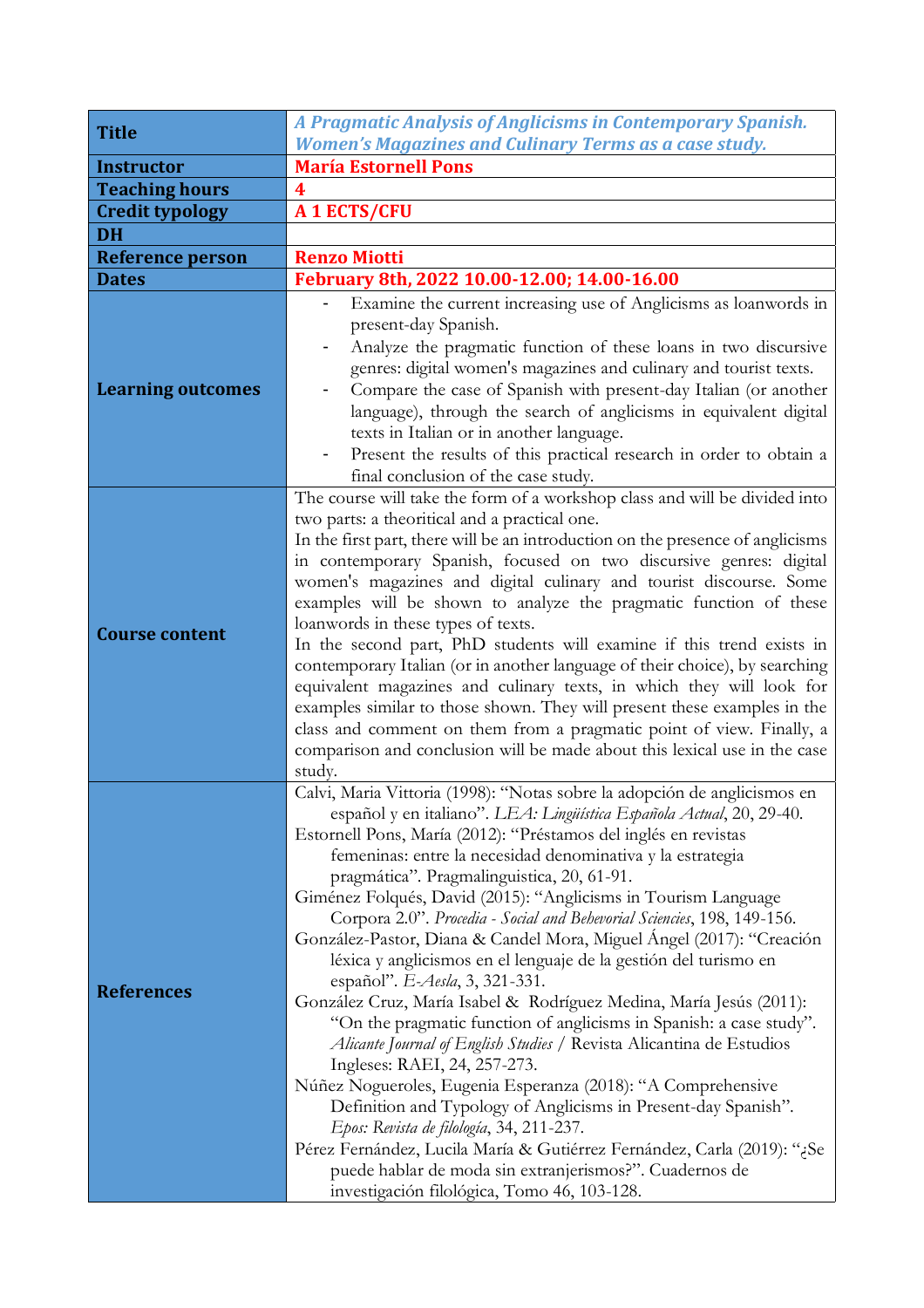| <b>Title</b>             | A Pragmatic Analysis of Anglicisms in Contemporary Spanish.                                                                                                                                                                                                                                                                                                                                                                                                                                                                                                                                                                                                                                                                                                                                                                                                                                                                                                                                                                                                                                                                                                                                                                                                                         |
|--------------------------|-------------------------------------------------------------------------------------------------------------------------------------------------------------------------------------------------------------------------------------------------------------------------------------------------------------------------------------------------------------------------------------------------------------------------------------------------------------------------------------------------------------------------------------------------------------------------------------------------------------------------------------------------------------------------------------------------------------------------------------------------------------------------------------------------------------------------------------------------------------------------------------------------------------------------------------------------------------------------------------------------------------------------------------------------------------------------------------------------------------------------------------------------------------------------------------------------------------------------------------------------------------------------------------|
|                          | <b>Women's Magazines and Culinary Terms as a case study.</b>                                                                                                                                                                                                                                                                                                                                                                                                                                                                                                                                                                                                                                                                                                                                                                                                                                                                                                                                                                                                                                                                                                                                                                                                                        |
| <b>Instructor</b>        | <b>María Estornell Pons</b>                                                                                                                                                                                                                                                                                                                                                                                                                                                                                                                                                                                                                                                                                                                                                                                                                                                                                                                                                                                                                                                                                                                                                                                                                                                         |
| <b>Teaching hours</b>    | 4                                                                                                                                                                                                                                                                                                                                                                                                                                                                                                                                                                                                                                                                                                                                                                                                                                                                                                                                                                                                                                                                                                                                                                                                                                                                                   |
| <b>Credit typology</b>   | A 1 ECTS/CFU                                                                                                                                                                                                                                                                                                                                                                                                                                                                                                                                                                                                                                                                                                                                                                                                                                                                                                                                                                                                                                                                                                                                                                                                                                                                        |
| <b>DH</b>                |                                                                                                                                                                                                                                                                                                                                                                                                                                                                                                                                                                                                                                                                                                                                                                                                                                                                                                                                                                                                                                                                                                                                                                                                                                                                                     |
| <b>Reference person</b>  | <b>Renzo Miotti</b>                                                                                                                                                                                                                                                                                                                                                                                                                                                                                                                                                                                                                                                                                                                                                                                                                                                                                                                                                                                                                                                                                                                                                                                                                                                                 |
| <b>Dates</b>             | February 8th, 2022 10.00-12.00; 14.00-16.00                                                                                                                                                                                                                                                                                                                                                                                                                                                                                                                                                                                                                                                                                                                                                                                                                                                                                                                                                                                                                                                                                                                                                                                                                                         |
| <b>Learning outcomes</b> | Examine the current increasing use of Anglicisms as loanwords in<br>present-day Spanish.<br>Analyze the pragmatic function of these loans in two discursive<br>genres: digital women's magazines and culinary and tourist texts.<br>Compare the case of Spanish with present-day Italian (or another<br>language), through the search of anglicisms in equivalent digital<br>texts in Italian or in another language.<br>Present the results of this practical research in order to obtain a<br>$\overline{\phantom{0}}$<br>final conclusion of the case study.                                                                                                                                                                                                                                                                                                                                                                                                                                                                                                                                                                                                                                                                                                                     |
| <b>Course content</b>    | The course will take the form of a workshop class and will be divided into<br>two parts: a theoritical and a practical one.<br>In the first part, there will be an introduction on the presence of anglicisms<br>in contemporary Spanish, focused on two discursive genres: digital<br>women's magazines and digital culinary and tourist discourse. Some<br>examples will be shown to analyze the pragmatic function of these<br>loanwords in these types of texts.<br>In the second part, PhD students will examine if this trend exists in<br>contemporary Italian (or in another language of their choice), by searching<br>equivalent magazines and culinary texts, in which they will look for<br>examples similar to those shown. They will present these examples in the<br>class and comment on them from a pragmatic point of view. Finally, a<br>comparison and conclusion will be made about this lexical use in the case<br>study.                                                                                                                                                                                                                                                                                                                                     |
| <b>References</b>        | Calvi, Maria Vittoria (1998): "Notas sobre la adopción de anglicismos en<br>español y en italiano". LEA: Lingüística Española Actual, 20, 29-40.<br>Estornell Pons, María (2012): "Préstamos del inglés en revistas<br>femeninas: entre la necesidad denominativa y la estrategia<br>pragmática". Pragmalinguistica, 20, 61-91.<br>Giménez Folqués, David (2015): "Anglicisms in Tourism Language<br>Corpora 2.0". Procedia - Social and Behevorial Sciencies, 198, 149-156.<br>González-Pastor, Diana & Candel Mora, Miguel Ángel (2017): "Creación<br>léxica y anglicismos en el lenguaje de la gestión del turismo en<br>español". E-Aesla, 3, 321-331.<br>González Cruz, María Isabel & Rodríguez Medina, María Jesús (2011):<br>"On the pragmatic function of anglicisms in Spanish: a case study".<br>Alicante Journal of English Studies / Revista Alicantina de Estudios<br>Ingleses: RAEI, 24, 257-273.<br>Núñez Nogueroles, Eugenia Esperanza (2018): "A Comprehensive<br>Definition and Typology of Anglicisms in Present-day Spanish".<br>Epos: Revista de filología, 34, 211-237.<br>Pérez Fernández, Lucila María & Gutiérrez Fernández, Carla (2019): "¿Se<br>puede hablar de moda sin extranjerismos?". Cuadernos de<br>investigación filológica, Tomo 46, 103-128. |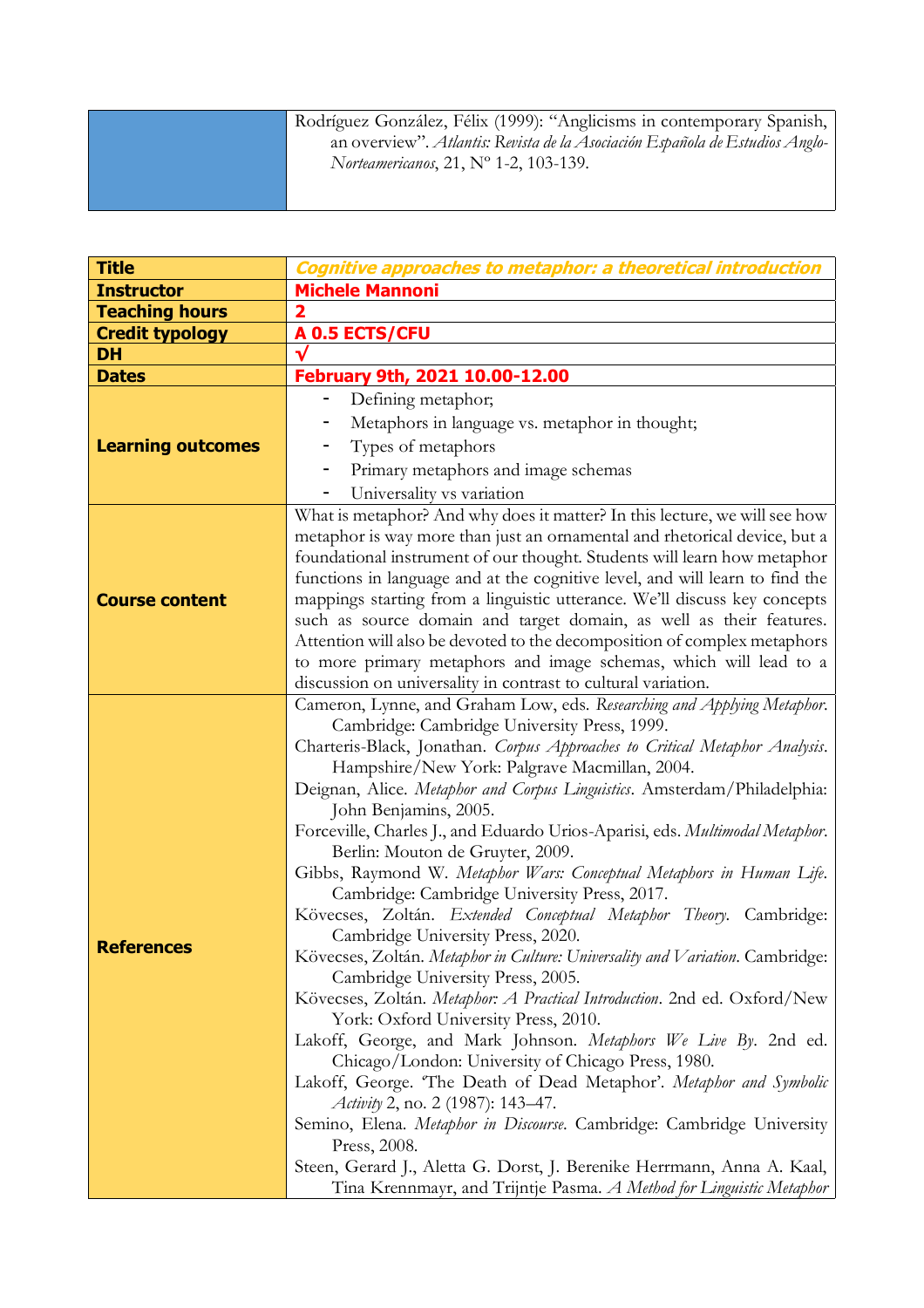| Rodríguez González, Félix (1999): "Anglicisms in contemporary Spanish,<br>an overview". Atlantis: Revista de la Asociación Española de Estudios Anglo-<br><i>Norteamericanos</i> , 21, $N^{\circ}$ 1-2, 103-139. |
|------------------------------------------------------------------------------------------------------------------------------------------------------------------------------------------------------------------|
|                                                                                                                                                                                                                  |

п

| <b>Title</b>             | Cognitive approaches to metaphor: a theoretical introduction                                                                                                                                                                                                                                                                                                                                                                                                                                                                                                                                                                                                                                                                                                                                                                                                                                                                                                                                                                                                                                                                                                                                                                                                                                                                                                                                                                                 |
|--------------------------|----------------------------------------------------------------------------------------------------------------------------------------------------------------------------------------------------------------------------------------------------------------------------------------------------------------------------------------------------------------------------------------------------------------------------------------------------------------------------------------------------------------------------------------------------------------------------------------------------------------------------------------------------------------------------------------------------------------------------------------------------------------------------------------------------------------------------------------------------------------------------------------------------------------------------------------------------------------------------------------------------------------------------------------------------------------------------------------------------------------------------------------------------------------------------------------------------------------------------------------------------------------------------------------------------------------------------------------------------------------------------------------------------------------------------------------------|
| <b>Instructor</b>        | <b>Michele Mannoni</b>                                                                                                                                                                                                                                                                                                                                                                                                                                                                                                                                                                                                                                                                                                                                                                                                                                                                                                                                                                                                                                                                                                                                                                                                                                                                                                                                                                                                                       |
| <b>Teaching hours</b>    | 2                                                                                                                                                                                                                                                                                                                                                                                                                                                                                                                                                                                                                                                                                                                                                                                                                                                                                                                                                                                                                                                                                                                                                                                                                                                                                                                                                                                                                                            |
| <b>Credit typology</b>   | A 0.5 ECTS/CFU                                                                                                                                                                                                                                                                                                                                                                                                                                                                                                                                                                                                                                                                                                                                                                                                                                                                                                                                                                                                                                                                                                                                                                                                                                                                                                                                                                                                                               |
| <b>DH</b>                |                                                                                                                                                                                                                                                                                                                                                                                                                                                                                                                                                                                                                                                                                                                                                                                                                                                                                                                                                                                                                                                                                                                                                                                                                                                                                                                                                                                                                                              |
| <b>Dates</b>             | February 9th, 2021 10.00-12.00                                                                                                                                                                                                                                                                                                                                                                                                                                                                                                                                                                                                                                                                                                                                                                                                                                                                                                                                                                                                                                                                                                                                                                                                                                                                                                                                                                                                               |
| <b>Learning outcomes</b> | Defining metaphor;<br>-<br>Metaphors in language vs. metaphor in thought;<br>Types of metaphors<br>-<br>Primary metaphors and image schemas<br>Universality vs variation                                                                                                                                                                                                                                                                                                                                                                                                                                                                                                                                                                                                                                                                                                                                                                                                                                                                                                                                                                                                                                                                                                                                                                                                                                                                     |
| <b>Course content</b>    | What is metaphor? And why does it matter? In this lecture, we will see how<br>metaphor is way more than just an ornamental and rhetorical device, but a<br>foundational instrument of our thought. Students will learn how metaphor<br>functions in language and at the cognitive level, and will learn to find the<br>mappings starting from a linguistic utterance. We'll discuss key concepts<br>such as source domain and target domain, as well as their features.<br>Attention will also be devoted to the decomposition of complex metaphors<br>to more primary metaphors and image schemas, which will lead to a<br>discussion on universality in contrast to cultural variation.                                                                                                                                                                                                                                                                                                                                                                                                                                                                                                                                                                                                                                                                                                                                                    |
| <b>References</b>        | Cameron, Lynne, and Graham Low, eds. Researching and Applying Metaphor.<br>Cambridge: Cambridge University Press, 1999.<br>Charteris-Black, Jonathan. Corpus Approaches to Critical Metaphor Analysis.<br>Hampshire/New York: Palgrave Macmillan, 2004.<br>Deignan, Alice. Metaphor and Corpus Linguistics. Amsterdam/Philadelphia:<br>John Benjamins, 2005.<br>Forceville, Charles J., and Eduardo Urios-Aparisi, eds. Multimodal Metaphor.<br>Berlin: Mouton de Gruyter, 2009.<br>Gibbs, Raymond W. Metaphor Wars: Conceptual Metaphors in Human Life.<br>Cambridge: Cambridge University Press, 2017.<br>Kövecses, Zoltán. Extended Conceptual Metaphor Theory. Cambridge:<br>Cambridge University Press, 2020.<br>Kövecses, Zoltán. Metaphor in Culture: Universality and Variation. Cambridge:<br>Cambridge University Press, 2005.<br>Kövecses, Zoltán. Metaphor: A Practical Introduction. 2nd ed. Oxford/New<br>York: Oxford University Press, 2010.<br>Lakoff, George, and Mark Johnson. Metaphors We Live By. 2nd ed.<br>Chicago/London: University of Chicago Press, 1980.<br>Lakoff, George. 'The Death of Dead Metaphor'. Metaphor and Symbolic<br>Activity 2, no. 2 (1987): 143-47.<br>Semino, Elena. Metaphor in Discourse. Cambridge: Cambridge University<br>Press, 2008.<br>Steen, Gerard J., Aletta G. Dorst, J. Berenike Herrmann, Anna A. Kaal,<br>Tina Krennmayr, and Trijntje Pasma. A Method for Linguistic Metaphor |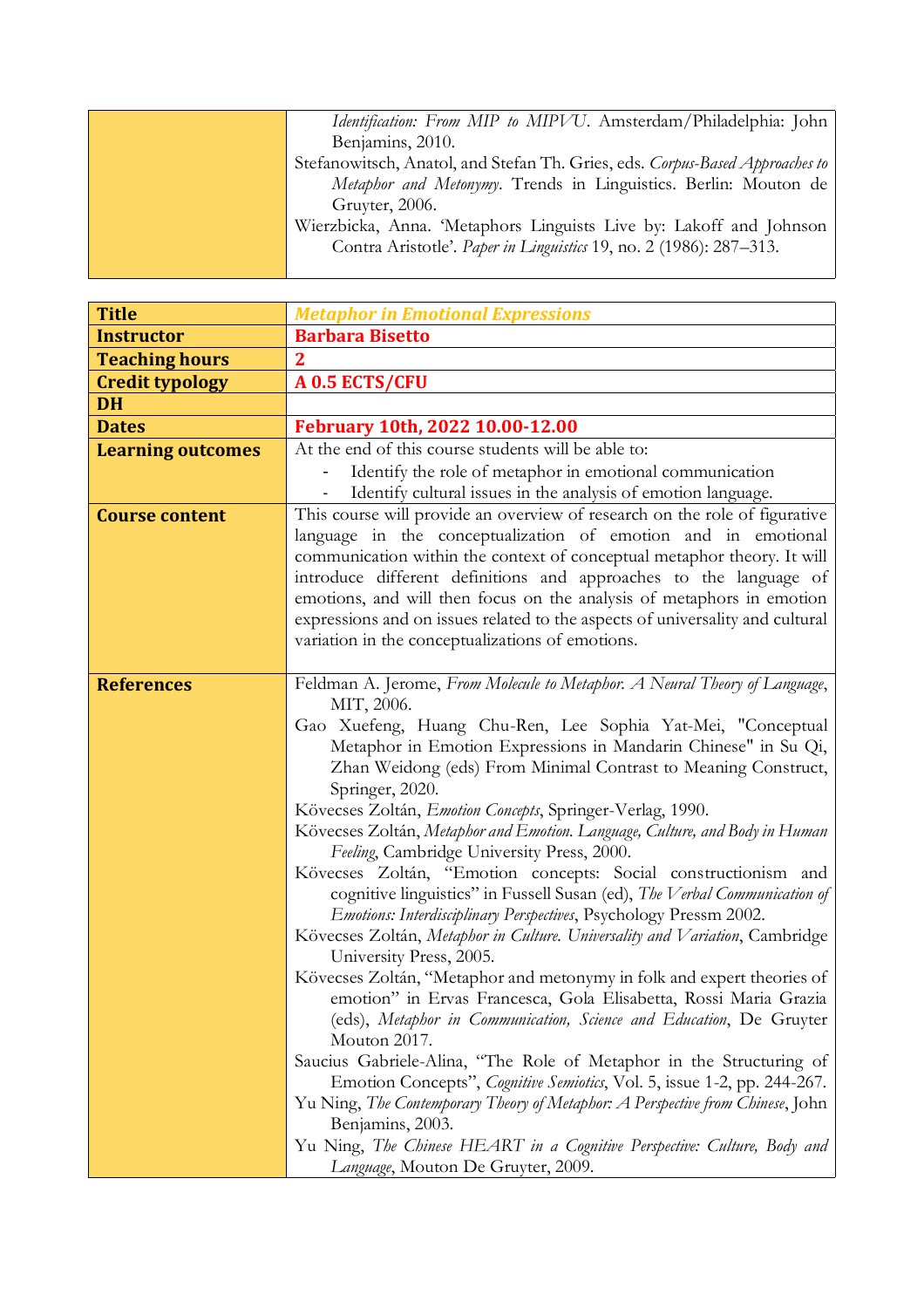| <i>Identification: From MIP to MIPVU</i> . Amsterdam/Philadelphia: John      |
|------------------------------------------------------------------------------|
| Benjamins, 2010.                                                             |
| Stefanowitsch, Anatol, and Stefan Th. Gries, eds. Corpus-Based Approaches to |
| Metaphor and Metonymy. Trends in Linguistics. Berlin: Mouton de              |
| Gruyter, 2006.                                                               |
| Wierzbicka, Anna. 'Metaphors Linguists Live by: Lakoff and Johnson           |
| Contra Aristotle'. Paper in Linguistics 19, no. 2 (1986): 287-313.           |
|                                                                              |

| <b>Title</b>             | <b>Metaphor in Emotional Expressions</b>                                                                                                                                                                                                                                                                                                                                                                                                                                                                                                                                                                            |
|--------------------------|---------------------------------------------------------------------------------------------------------------------------------------------------------------------------------------------------------------------------------------------------------------------------------------------------------------------------------------------------------------------------------------------------------------------------------------------------------------------------------------------------------------------------------------------------------------------------------------------------------------------|
| <b>Instructor</b>        | <b>Barbara Bisetto</b>                                                                                                                                                                                                                                                                                                                                                                                                                                                                                                                                                                                              |
| <b>Teaching hours</b>    | $\mathbf 2$                                                                                                                                                                                                                                                                                                                                                                                                                                                                                                                                                                                                         |
| <b>Credit typology</b>   | A 0.5 ECTS/CFU                                                                                                                                                                                                                                                                                                                                                                                                                                                                                                                                                                                                      |
| <b>DH</b>                |                                                                                                                                                                                                                                                                                                                                                                                                                                                                                                                                                                                                                     |
| <b>Dates</b>             | February 10th, 2022 10.00-12.00                                                                                                                                                                                                                                                                                                                                                                                                                                                                                                                                                                                     |
| <b>Learning outcomes</b> | At the end of this course students will be able to:                                                                                                                                                                                                                                                                                                                                                                                                                                                                                                                                                                 |
|                          | Identify the role of metaphor in emotional communication                                                                                                                                                                                                                                                                                                                                                                                                                                                                                                                                                            |
|                          | Identify cultural issues in the analysis of emotion language.                                                                                                                                                                                                                                                                                                                                                                                                                                                                                                                                                       |
| <b>Course content</b>    | This course will provide an overview of research on the role of figurative                                                                                                                                                                                                                                                                                                                                                                                                                                                                                                                                          |
|                          | language in the conceptualization of emotion and in emotional                                                                                                                                                                                                                                                                                                                                                                                                                                                                                                                                                       |
|                          | communication within the context of conceptual metaphor theory. It will                                                                                                                                                                                                                                                                                                                                                                                                                                                                                                                                             |
|                          | introduce different definitions and approaches to the language of                                                                                                                                                                                                                                                                                                                                                                                                                                                                                                                                                   |
|                          | emotions, and will then focus on the analysis of metaphors in emotion                                                                                                                                                                                                                                                                                                                                                                                                                                                                                                                                               |
|                          | expressions and on issues related to the aspects of universality and cultural                                                                                                                                                                                                                                                                                                                                                                                                                                                                                                                                       |
|                          | variation in the conceptualizations of emotions.                                                                                                                                                                                                                                                                                                                                                                                                                                                                                                                                                                    |
|                          |                                                                                                                                                                                                                                                                                                                                                                                                                                                                                                                                                                                                                     |
| <b>References</b>        | Feldman A. Jerome, From Molecule to Metaphor. A Neural Theory of Language,                                                                                                                                                                                                                                                                                                                                                                                                                                                                                                                                          |
|                          | MIT, 2006.                                                                                                                                                                                                                                                                                                                                                                                                                                                                                                                                                                                                          |
|                          | Gao Xuefeng, Huang Chu-Ren, Lee Sophia Yat-Mei, "Conceptual<br>Metaphor in Emotion Expressions in Mandarin Chinese" in Su Qi,                                                                                                                                                                                                                                                                                                                                                                                                                                                                                       |
|                          | Zhan Weidong (eds) From Minimal Contrast to Meaning Construct,                                                                                                                                                                                                                                                                                                                                                                                                                                                                                                                                                      |
|                          | Springer, 2020.                                                                                                                                                                                                                                                                                                                                                                                                                                                                                                                                                                                                     |
|                          | Kövecses Zoltán, Emotion Concepts, Springer-Verlag, 1990.                                                                                                                                                                                                                                                                                                                                                                                                                                                                                                                                                           |
|                          | Kövecses Zoltán, Metaphor and Emotion. Language, Culture, and Body in Human                                                                                                                                                                                                                                                                                                                                                                                                                                                                                                                                         |
|                          | Feeling, Cambridge University Press, 2000.                                                                                                                                                                                                                                                                                                                                                                                                                                                                                                                                                                          |
|                          | Kövecses Zoltán, "Emotion concepts: Social constructionism and                                                                                                                                                                                                                                                                                                                                                                                                                                                                                                                                                      |
|                          | cognitive linguistics" in Fussell Susan (ed), The Verbal Communication of                                                                                                                                                                                                                                                                                                                                                                                                                                                                                                                                           |
|                          | Emotions: Interdisciplinary Perspectives, Psychology Pressm 2002.                                                                                                                                                                                                                                                                                                                                                                                                                                                                                                                                                   |
|                          | Kövecses Zoltán, Metaphor in Culture. Universality and Variation, Cambridge                                                                                                                                                                                                                                                                                                                                                                                                                                                                                                                                         |
|                          | University Press, 2005.                                                                                                                                                                                                                                                                                                                                                                                                                                                                                                                                                                                             |
|                          |                                                                                                                                                                                                                                                                                                                                                                                                                                                                                                                                                                                                                     |
|                          |                                                                                                                                                                                                                                                                                                                                                                                                                                                                                                                                                                                                                     |
|                          |                                                                                                                                                                                                                                                                                                                                                                                                                                                                                                                                                                                                                     |
|                          |                                                                                                                                                                                                                                                                                                                                                                                                                                                                                                                                                                                                                     |
|                          |                                                                                                                                                                                                                                                                                                                                                                                                                                                                                                                                                                                                                     |
|                          |                                                                                                                                                                                                                                                                                                                                                                                                                                                                                                                                                                                                                     |
|                          |                                                                                                                                                                                                                                                                                                                                                                                                                                                                                                                                                                                                                     |
|                          |                                                                                                                                                                                                                                                                                                                                                                                                                                                                                                                                                                                                                     |
|                          |                                                                                                                                                                                                                                                                                                                                                                                                                                                                                                                                                                                                                     |
|                          | Kövecses Zoltán, "Metaphor and metonymy in folk and expert theories of<br>emotion" in Ervas Francesca, Gola Elisabetta, Rossi Maria Grazia<br>(eds), Metaphor in Communication, Science and Education, De Gruyter<br>Mouton 2017.<br>Saucius Gabriele-Alina, "The Role of Metaphor in the Structuring of<br>Emotion Concepts", <i>Cognitive Semiotics</i> , Vol. 5, issue 1-2, pp. 244-267.<br>Yu Ning, The Contemporary Theory of Metaphor: A Perspective from Chinese, John<br>Benjamins, 2003.<br>Yu Ning, The Chinese HEART in a Cognitive Perspective: Culture, Body and<br>Language, Mouton De Gruyter, 2009. |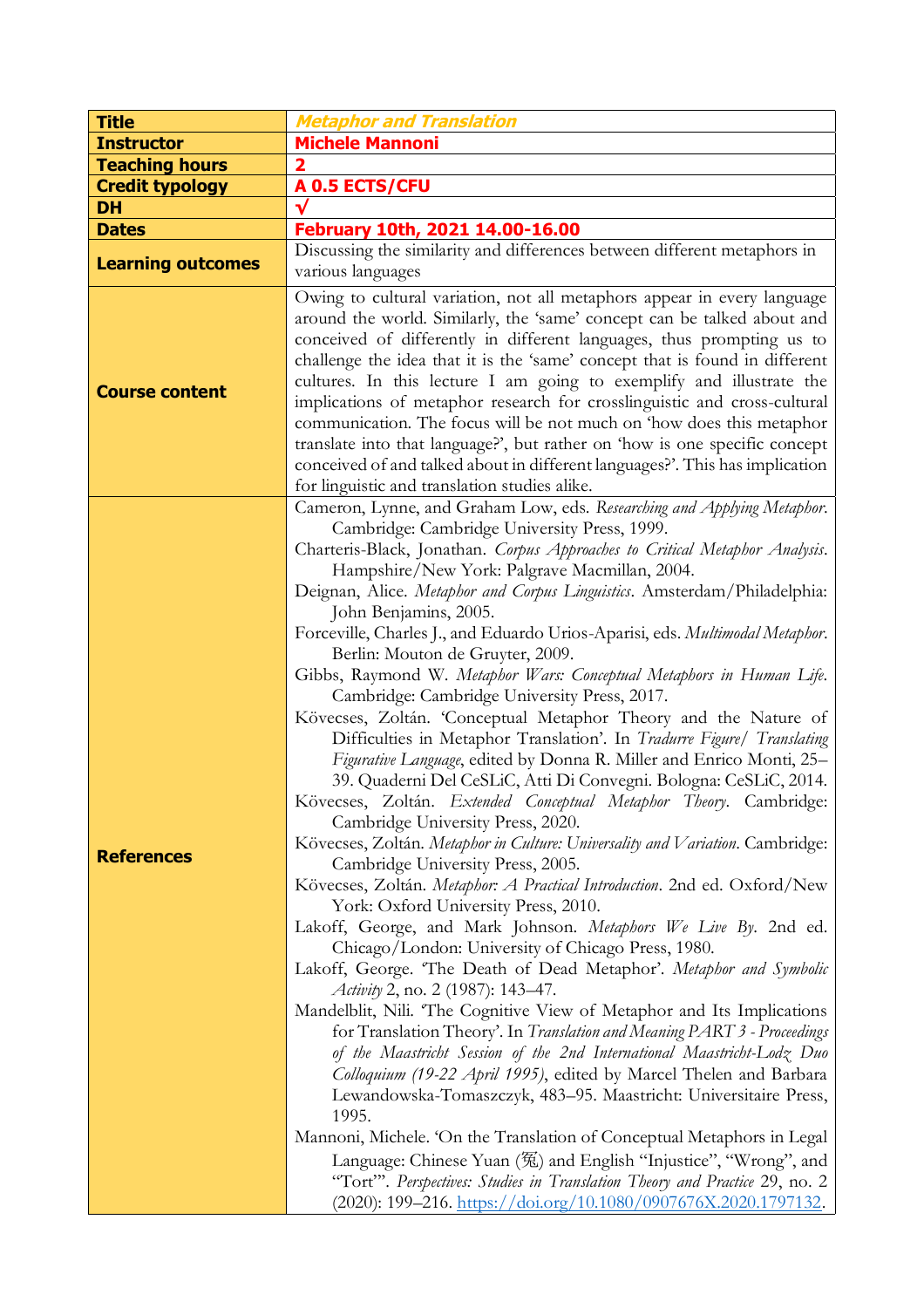| <b>Title</b>             | <b>Metaphor and Translation</b>                                                                                                                                                                                                                                                                                                                                                                                                                                                                                                                                                                                                                                                                                                                                                                                                                                                                                                                                                                                                                                                                                                                                                                                                                                                                                                                                                                                                                                                                                                                                                                                                                                                                                                                                                                                                                                                                                                                                                                                                                                                                                                                                                 |
|--------------------------|---------------------------------------------------------------------------------------------------------------------------------------------------------------------------------------------------------------------------------------------------------------------------------------------------------------------------------------------------------------------------------------------------------------------------------------------------------------------------------------------------------------------------------------------------------------------------------------------------------------------------------------------------------------------------------------------------------------------------------------------------------------------------------------------------------------------------------------------------------------------------------------------------------------------------------------------------------------------------------------------------------------------------------------------------------------------------------------------------------------------------------------------------------------------------------------------------------------------------------------------------------------------------------------------------------------------------------------------------------------------------------------------------------------------------------------------------------------------------------------------------------------------------------------------------------------------------------------------------------------------------------------------------------------------------------------------------------------------------------------------------------------------------------------------------------------------------------------------------------------------------------------------------------------------------------------------------------------------------------------------------------------------------------------------------------------------------------------------------------------------------------------------------------------------------------|
| <b>Instructor</b>        | <b>Michele Mannoni</b>                                                                                                                                                                                                                                                                                                                                                                                                                                                                                                                                                                                                                                                                                                                                                                                                                                                                                                                                                                                                                                                                                                                                                                                                                                                                                                                                                                                                                                                                                                                                                                                                                                                                                                                                                                                                                                                                                                                                                                                                                                                                                                                                                          |
| <b>Teaching hours</b>    |                                                                                                                                                                                                                                                                                                                                                                                                                                                                                                                                                                                                                                                                                                                                                                                                                                                                                                                                                                                                                                                                                                                                                                                                                                                                                                                                                                                                                                                                                                                                                                                                                                                                                                                                                                                                                                                                                                                                                                                                                                                                                                                                                                                 |
| <b>Credit typology</b>   | A 0.5 ECTS/CFU                                                                                                                                                                                                                                                                                                                                                                                                                                                                                                                                                                                                                                                                                                                                                                                                                                                                                                                                                                                                                                                                                                                                                                                                                                                                                                                                                                                                                                                                                                                                                                                                                                                                                                                                                                                                                                                                                                                                                                                                                                                                                                                                                                  |
| DH                       |                                                                                                                                                                                                                                                                                                                                                                                                                                                                                                                                                                                                                                                                                                                                                                                                                                                                                                                                                                                                                                                                                                                                                                                                                                                                                                                                                                                                                                                                                                                                                                                                                                                                                                                                                                                                                                                                                                                                                                                                                                                                                                                                                                                 |
| <b>Dates</b>             | February 10th, 2021 14.00-16.00                                                                                                                                                                                                                                                                                                                                                                                                                                                                                                                                                                                                                                                                                                                                                                                                                                                                                                                                                                                                                                                                                                                                                                                                                                                                                                                                                                                                                                                                                                                                                                                                                                                                                                                                                                                                                                                                                                                                                                                                                                                                                                                                                 |
| <b>Learning outcomes</b> | Discussing the similarity and differences between different metaphors in                                                                                                                                                                                                                                                                                                                                                                                                                                                                                                                                                                                                                                                                                                                                                                                                                                                                                                                                                                                                                                                                                                                                                                                                                                                                                                                                                                                                                                                                                                                                                                                                                                                                                                                                                                                                                                                                                                                                                                                                                                                                                                        |
|                          | various languages                                                                                                                                                                                                                                                                                                                                                                                                                                                                                                                                                                                                                                                                                                                                                                                                                                                                                                                                                                                                                                                                                                                                                                                                                                                                                                                                                                                                                                                                                                                                                                                                                                                                                                                                                                                                                                                                                                                                                                                                                                                                                                                                                               |
| <b>Course content</b>    | Owing to cultural variation, not all metaphors appear in every language<br>around the world. Similarly, the 'same' concept can be talked about and<br>conceived of differently in different languages, thus prompting us to<br>challenge the idea that it is the 'same' concept that is found in different<br>cultures. In this lecture I am going to exemplify and illustrate the<br>implications of metaphor research for crosslinguistic and cross-cultural<br>communication. The focus will be not much on 'how does this metaphor<br>translate into that language?', but rather on 'how is one specific concept<br>conceived of and talked about in different languages?'. This has implication<br>for linguistic and translation studies alike.                                                                                                                                                                                                                                                                                                                                                                                                                                                                                                                                                                                                                                                                                                                                                                                                                                                                                                                                                                                                                                                                                                                                                                                                                                                                                                                                                                                                                           |
| <b>References</b>        | Cameron, Lynne, and Graham Low, eds. Researching and Applying Metaphor.<br>Cambridge: Cambridge University Press, 1999.<br>Charteris-Black, Jonathan. Corpus Approaches to Critical Metaphor Analysis.<br>Hampshire/New York: Palgrave Macmillan, 2004.<br>Deignan, Alice. Metaphor and Corpus Linguistics. Amsterdam/Philadelphia:<br>John Benjamins, 2005.<br>Forceville, Charles J., and Eduardo Urios-Aparisi, eds. Multimodal Metaphor.<br>Berlin: Mouton de Gruyter, 2009.<br>Gibbs, Raymond W. Metaphor Wars: Conceptual Metaphors in Human Life.<br>Cambridge: Cambridge University Press, 2017.<br>Kövecses, Zoltán. 'Conceptual Metaphor Theory and the Nature of<br>Difficulties in Metaphor Translation'. In Tradurre Figure/ Translating<br>Figurative Language, edited by Donna R. Miller and Enrico Monti, 25-<br>39. Quaderni Del CeSLiC, Atti Di Convegni. Bologna: CeSLiC, 2014.<br>Kövecses, Zoltán. Extended Conceptual Metaphor Theory. Cambridge:<br>Cambridge University Press, 2020.<br>Kövecses, Zoltán. Metaphor in Culture: Universality and Variation. Cambridge:<br>Cambridge University Press, 2005.<br>Kövecses, Zoltán. Metaphor: A Practical Introduction. 2nd ed. Oxford/New<br>York: Oxford University Press, 2010.<br>Lakoff, George, and Mark Johnson. Metaphors We Live By. 2nd ed.<br>Chicago/London: University of Chicago Press, 1980.<br>Lakoff, George. 'The Death of Dead Metaphor'. Metaphor and Symbolic<br>Activity 2, no. 2 (1987): 143–47.<br>Mandelblit, Nili. 'The Cognitive View of Metaphor and Its Implications<br>for Translation Theory'. In Translation and Meaning PART 3 - Proceedings<br>of the Maastricht Session of the 2nd International Maastricht-Lodz Duo<br>Colloquium (19-22 April 1995), edited by Marcel Thelen and Barbara<br>Lewandowska-Tomaszczyk, 483-95. Maastricht: Universitaire Press,<br>1995.<br>Mannoni, Michele. 'On the Translation of Conceptual Metaphors in Legal<br>Language: Chinese Yuan (冤) and English "Injustice", "Wrong", and<br>"Tort". Perspectives: Studies in Translation Theory and Practice 29, no. 2<br>$(2020): 199-216.$ https://doi.org/10.1080/0907676X.2020.1797132. |